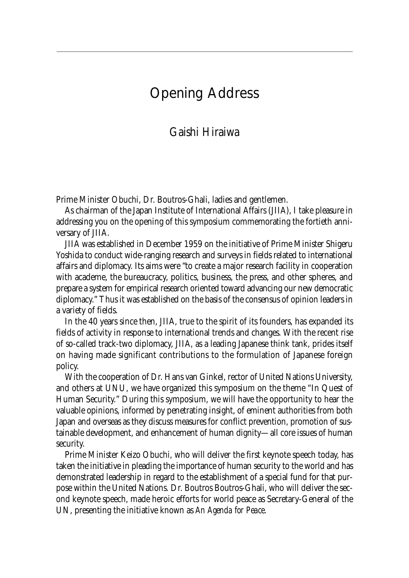## Opening Address

### Gaishi Hiraiwa

Prime Minister Obuchi, Dr. Boutros-Ghali, ladies and gentlemen.

As chairman of the Japan Institute of International Affairs (JIIA), I take pleasure in addressing you on the opening of this symposium commemorating the fortieth anniversary of JIIA.

JIIA was established in December 1959 on the initiative of Prime Minister Shigeru Yoshida to conduct wide-ranging research and surveys in fields related to international affairs and diplomacy. Its aims were "to create a major research facility in cooperation with academe, the bureaucracy, politics, business, the press, and other spheres, and prepare a system for empirical research oriented toward advancing our new democratic diplomacy." Thus it was established on the basis of the consensus of opinion leaders in a variety of fields.

In the 40 years since then, JIIA, true to the spirit of its founders, has expanded its fields of activity in response to international trends and changes. With the recent rise of so-called track-two diplomacy, JIIA, as a leading Japanese think tank, prides itself on having made significant contributions to the formulation of Japanese foreign policy.

With the cooperation of Dr. Hans van Ginkel, rector of United Nations University, and others at UNU, we have organized this symposium on the theme "In Quest of Human Security." During this symposium, we will have the opportunity to hear the valuable opinions, informed by penetrating insight, of eminent authorities from both Japan and overseas as they discuss measures for conflict prevention, promotion of sustainable development, and enhancement of human dignity—all core issues of human security.

Prime Minister Keizo Obuchi, who will deliver the first keynote speech today, has taken the initiative in pleading the importance of human security to the world and has demonstrated leadership in regard to the establishment of a special fund for that purpose within the United Nations. Dr. Boutros Boutros-Ghali, who will deliver the second keynote speech, made heroic efforts for world peace as Secretary-General of the UN, presenting the initiative known as *An Agenda for Peace*.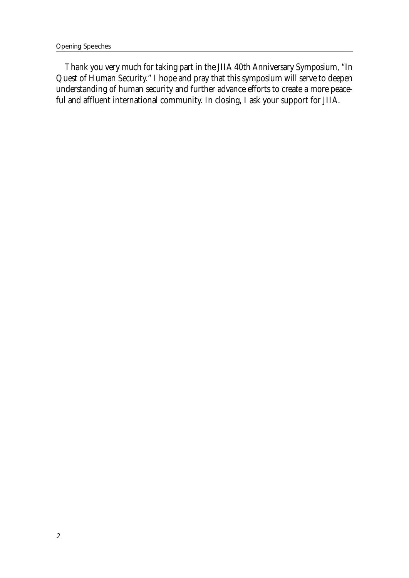Thank you very much for taking part in the JIIA 40th Anniversary Symposium, "In Quest of Human Security." I hope and pray that this symposium will serve to deepen understanding of human security and further advance efforts to create a more peaceful and affluent international community. In closing, I ask your support for JIIA.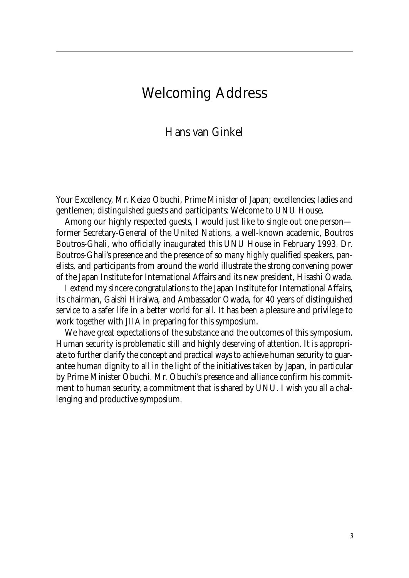### Welcoming Address

### Hans van Ginkel

Your Excellency, Mr. Keizo Obuchi, Prime Minister of Japan; excellencies; ladies and gentlemen; distinguished guests and participants: Welcome to UNU House.

Among our highly respected guests, I would just like to single out one person former Secretary-General of the United Nations, a well-known academic, Boutros Boutros-Ghali, who officially inaugurated this UNU House in February 1993. Dr. Boutros-Ghali's presence and the presence of so many highly qualified speakers, panelists, and participants from around the world illustrate the strong convening power of the Japan Institute for International Affairs and its new president, Hisashi Owada.

I extend my sincere congratulations to the Japan Institute for International Affairs, its chairman, Gaishi Hiraiwa, and Ambassador Owada, for 40 years of distinguished service to a safer life in a better world for all. It has been a pleasure and privilege to work together with JIIA in preparing for this symposium.

We have great expectations of the substance and the outcomes of this symposium. Human security is problematic still and highly deserving of attention. It is appropriate to further clarify the concept and practical ways to achieve human security to guarantee human dignity to all in the light of the initiatives taken by Japan, in particular by Prime Minister Obuchi. Mr. Obuchi's presence and alliance confirm his commitment to human security, a commitment that is shared by UNU. I wish you all a challenging and productive symposium.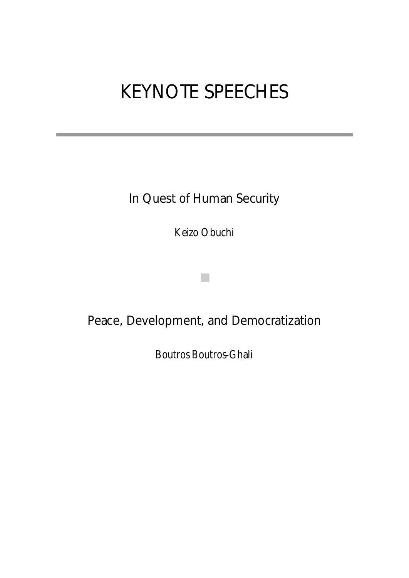# KEYNOTE SPEECHES

In Quest of Human Security

Keizo Obuchi

■

## Peace, Development, and Democratization

Boutros Boutros-Ghali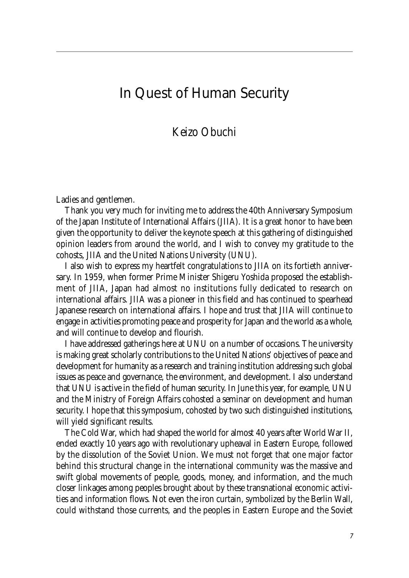### In Quest of Human Security

Keizo Obuchi

Ladies and gentlemen.

Thank you very much for inviting me to address the 40th Anniversary Symposium of the Japan Institute of International Affairs (JIIA). It is a great honor to have been given the opportunity to deliver the keynote speech at this gathering of distinguished opinion leaders from around the world, and I wish to convey my gratitude to the cohosts, JIIA and the United Nations University (UNU).

I also wish to express my heartfelt congratulations to JIIA on its fortieth anniversary. In 1959, when former Prime Minister Shigeru Yoshida proposed the establishment of JIIA, Japan had almost no institutions fully dedicated to research on international affairs. JIIA was a pioneer in this field and has continued to spearhead Japanese research on international affairs. I hope and trust that JIIA will continue to engage in activities promoting peace and prosperity for Japan and the world as a whole, and will continue to develop and flourish.

I have addressed gatherings here at UNU on a number of occasions. The university is making great scholarly contributions to the United Nations' objectives of peace and development for humanity as a research and training institution addressing such global issues as peace and governance, the environment, and development. I also understand that UNU is active in the field of human security. In June this year, for example, UNU and the Ministry of Foreign Affairs cohosted a seminar on development and human security. I hope that this symposium, cohosted by two such distinguished institutions, will yield significant results.

The Cold War, which had shaped the world for almost 40 years after World War II, ended exactly 10 years ago with revolutionary upheaval in Eastern Europe, followed by the dissolution of the Soviet Union. We must not forget that one major factor behind this structural change in the international community was the massive and swift global movements of people, goods, money, and information, and the much closer linkages among peoples brought about by these transnational economic activities and information flows. Not even the iron curtain, symbolized by the Berlin Wall, could withstand those currents, and the peoples in Eastern Europe and the Soviet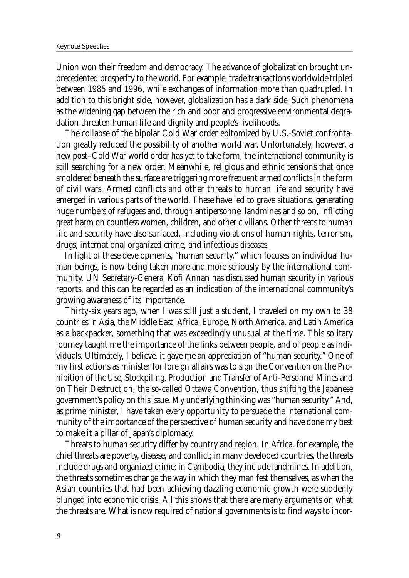Union won their freedom and democracy. The advance of globalization brought unprecedented prosperity to the world. For example, trade transactions worldwide tripled between 1985 and 1996, while exchanges of information more than quadrupled. In addition to this bright side, however, globalization has a dark side. Such phenomena as the widening gap between the rich and poor and progressive environmental degradation threaten human life and dignity and people's livelihoods.

The collapse of the bipolar Cold War order epitomized by U.S.-Soviet confrontation greatly reduced the possibility of another world war. Unfortunately, however, a new post–Cold War world order has yet to take form; the international community is still searching for a new order. Meanwhile, religious and ethnic tensions that once smoldered beneath the surface are triggering more frequent armed conflicts in the form of civil wars. Armed conflicts and other threats to human life and security have emerged in various parts of the world. These have led to grave situations, generating huge numbers of refugees and, through antipersonnel landmines and so on, inflicting great harm on countless women, children, and other civilians. Other threats to human life and security have also surfaced, including violations of human rights, terrorism, drugs, international organized crime, and infectious diseases.

In light of these developments, "human security," which focuses on individual human beings, is now being taken more and more seriously by the international community. UN Secretary-General Kofi Annan has discussed human security in various reports, and this can be regarded as an indication of the international community's growing awareness of its importance.

Thirty-six years ago, when I was still just a student, I traveled on my own to 38 countries in Asia, the Middle East, Africa, Europe, North America, and Latin America as a backpacker, something that was exceedingly unusual at the time. This solitary journey taught me the importance of the links between people, and of people as individuals. Ultimately, I believe, it gave me an appreciation of "human security." One of my first actions as minister for foreign affairs was to sign the Convention on the Prohibition of the Use, Stockpiling, Production and Transfer of Anti-Personnel Mines and on Their Destruction, the so-called Ottawa Convention, thus shifting the Japanese government's policy on this issue. My underlying thinking was "human security." And, as prime minister, I have taken every opportunity to persuade the international community of the importance of the perspective of human security and have done my best to make it a pillar of Japan's diplomacy.

Threats to human security differ by country and region. In Africa, for example, the chief threats are poverty, disease, and conflict; in many developed countries, the threats include drugs and organized crime; in Cambodia, they include landmines. In addition, the threats sometimes change the way in which they manifest themselves, as when the Asian countries that had been achieving dazzling economic growth were suddenly plunged into economic crisis. All this shows that there are many arguments on what the threats are. What is now required of national governments is to find ways to incor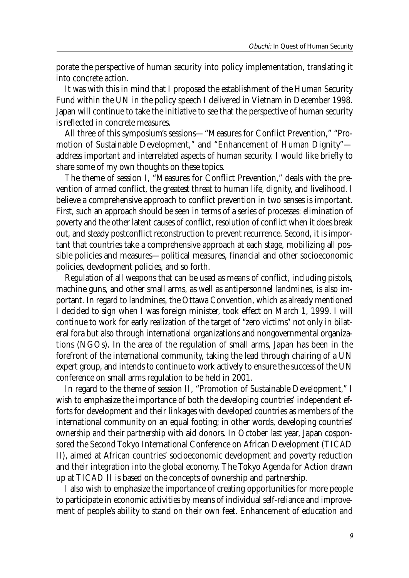porate the perspective of human security into policy implementation, translating it into concrete action.

It was with this in mind that I proposed the establishment of the Human Security Fund within the UN in the policy speech I delivered in Vietnam in December 1998. Japan will continue to take the initiative to see that the perspective of human security is reflected in concrete measures.

All three of this symposium's sessions—"Measures for Conflict Prevention," "Promotion of Sustainable Development," and "Enhancement of Human Dignity" address important and interrelated aspects of human security. I would like briefly to share some of my own thoughts on these topics.

The theme of session I, "Measures for Conflict Prevention," deals with the prevention of armed conflict, the greatest threat to human life, dignity, and livelihood. I believe a comprehensive approach to conflict prevention in two senses is important. First, such an approach should be seen in terms of a series of processes: elimination of poverty and the other latent causes of conflict, resolution of conflict when it does break out, and steady postconflict reconstruction to prevent recurrence. Second, it is important that countries take a comprehensive approach at each stage, mobilizing all possible policies and measures—political measures, financial and other socioeconomic policies, development policies, and so forth.

Regulation of all weapons that can be used as means of conflict, including pistols, machine guns, and other small arms, as well as antipersonnel landmines, is also important. In regard to landmines, the Ottawa Convention, which as already mentioned I decided to sign when I was foreign minister, took effect on March 1, 1999. I will continue to work for early realization of the target of "zero victims" not only in bilateral fora but also through international organizations and nongovernmental organizations (NGOs). In the area of the regulation of small arms, Japan has been in the forefront of the international community, taking the lead through chairing of a UN expert group, and intends to continue to work actively to ensure the success of the UN conference on small arms regulation to be held in 2001.

In regard to the theme of session II, "Promotion of Sustainable Development," I wish to emphasize the importance of both the developing countries' independent efforts for development and their linkages with developed countries as members of the international community on an equal footing; in other words, developing countries' *ownership* and their *partnership* with aid donors. In October last year, Japan cosponsored the Second Tokyo International Conference on African Development (TICAD II), aimed at African countries' socioeconomic development and poverty reduction and their integration into the global economy. The Tokyo Agenda for Action drawn up at TICAD II is based on the concepts of ownership and partnership.

I also wish to emphasize the importance of creating opportunities for more people to participate in economic activities by means of individual self-reliance and improvement of people's ability to stand on their own feet. Enhancement of education and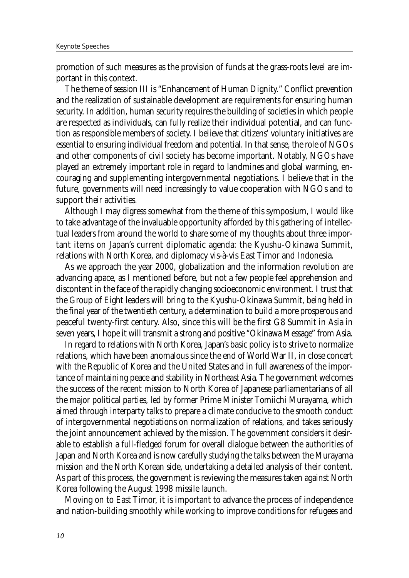promotion of such measures as the provision of funds at the grass-roots level are important in this context.

The theme of session III is "Enhancement of Human Dignity." Conflict prevention and the realization of sustainable development are requirements for ensuring human security. In addition, human security requires the building of societies in which people are respected as individuals, can fully realize their individual potential, and can function as responsible members of society. I believe that citizens' voluntary initiatives are essential to ensuring individual freedom and potential. In that sense, the role of NGOs and other components of civil society has become important. Notably, NGOs have played an extremely important role in regard to landmines and global warming, encouraging and supplementing intergovernmental negotiations. I believe that in the future, governments will need increasingly to value cooperation with NGOs and to support their activities.

Although I may digress somewhat from the theme of this symposium, I would like to take advantage of the invaluable opportunity afforded by this gathering of intellectual leaders from around the world to share some of my thoughts about three important items on Japan's current diplomatic agenda: the Kyushu-Okinawa Summit, relations with North Korea, and diplomacy vis-à-vis East Timor and Indonesia.

As we approach the year 2000, globalization and the information revolution are advancing apace, as I mentioned before, but not a few people feel apprehension and discontent in the face of the rapidly changing socioeconomic environment. I trust that the Group of Eight leaders will bring to the Kyushu-Okinawa Summit, being held in the final year of the twentieth century, a determination to build a more prosperous and peaceful twenty-first century. Also, since this will be the first G8 Summit in Asia in seven years, I hope it will transmit a strong and positive "Okinawa Message" from Asia.

In regard to relations with North Korea, Japan's basic policy is to strive to normalize relations, which have been anomalous since the end of World War II, in close concert with the Republic of Korea and the United States and in full awareness of the importance of maintaining peace and stability in Northeast Asia. The government welcomes the success of the recent mission to North Korea of Japanese parliamentarians of all the major political parties, led by former Prime Minister Tomiichi Murayama, which aimed through interparty talks to prepare a climate conducive to the smooth conduct of intergovernmental negotiations on normalization of relations, and takes seriously the joint announcement achieved by the mission. The government considers it desirable to establish a full-fledged forum for overall dialogue between the authorities of Japan and North Korea and is now carefully studying the talks between the Murayama mission and the North Korean side, undertaking a detailed analysis of their content. As part of this process, the government is reviewing the measures taken against North Korea following the August 1998 missile launch.

Moving on to East Timor, it is important to advance the process of independence and nation-building smoothly while working to improve conditions for refugees and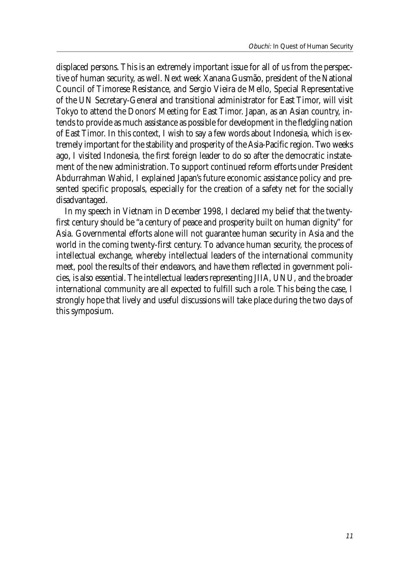displaced persons. This is an extremely important issue for all of us from the perspective of human security, as well. Next week Xanana Gusmão, president of the National Council of Timorese Resistance, and Sergio Vieira de Mello, Special Representative of the UN Secretary-General and transitional administrator for East Timor, will visit Tokyo to attend the Donors' Meeting for East Timor. Japan, as an Asian country, intends to provide as much assistance as possible for development in the fledgling nation of East Timor. In this context, I wish to say a few words about Indonesia, which is extremely important for the stability and prosperity of the Asia-Pacific region. Two weeks ago, I visited Indonesia, the first foreign leader to do so after the democratic instatement of the new administration. To support continued reform efforts under President Abdurrahman Wahid, I explained Japan's future economic assistance policy and presented specific proposals, especially for the creation of a safety net for the socially disadvantaged.

In my speech in Vietnam in December 1998, I declared my belief that the twentyfirst century should be "a century of peace and prosperity built on human dignity" for Asia. Governmental efforts alone will not guarantee human security in Asia and the world in the coming twenty-first century. To advance human security, the process of intellectual exchange, whereby intellectual leaders of the international community meet, pool the results of their endeavors, and have them reflected in government policies, is also essential. The intellectual leaders representing JIIA, UNU, and the broader international community are all expected to fulfill such a role. This being the case, I strongly hope that lively and useful discussions will take place during the two days of this symposium.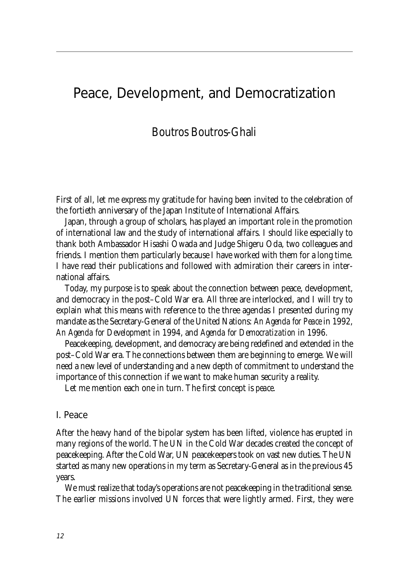### Peace, Development, and Democratization

### Boutros Boutros-Ghali

First of all, let me express my gratitude for having been invited to the celebration of the fortieth anniversary of the Japan Institute of International Affairs.

Japan, through a group of scholars, has played an important role in the promotion of international law and the study of international affairs. I should like especially to thank both Ambassador Hisashi Owada and Judge Shigeru Oda, two colleagues and friends. I mention them particularly because I have worked with them for a long time. I have read their publications and followed with admiration their careers in international affairs.

Today, my purpose is to speak about the connection between peace, development, and democracy in the post–Cold War era. All three are interlocked, and I will try to explain what this means with reference to the three agendas I presented during my mandate as the Secretary-General of the United Nations: *An Agenda for Peace* in 1992, *An Agenda for Development* in 1994, and *Agenda for Democratization* in 1996.

Peacekeeping, development, and democracy are being redefined and extended in the post–Cold War era. The connections between them are beginning to emerge. We will need a new level of understanding and a new depth of commitment to understand the importance of this connection if we want to make human security a reality.

Let me mention each one in turn. The first concept is *peace*.

#### I. Peace

After the heavy hand of the bipolar system has been lifted, violence has erupted in many regions of the world. The UN in the Cold War decades created the concept of peacekeeping. After the Cold War, UN peacekeepers took on vast new duties. The UN started as many new operations in my term as Secretary-General as in the previous 45 years.

We must realize that today's operations are not peacekeeping in the traditional sense. The earlier missions involved UN forces that were lightly armed. First, they were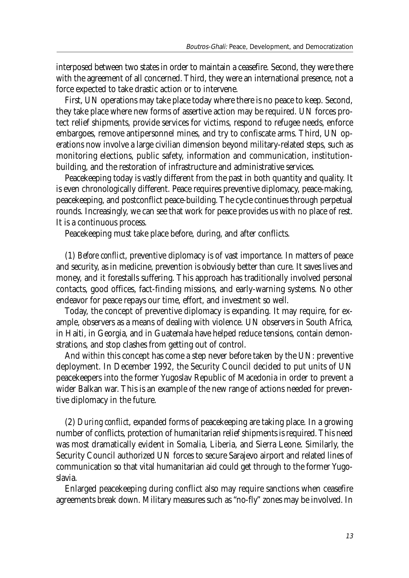interposed between two states in order to maintain a ceasefire. Second, they were there with the agreement of all concerned. Third, they were an international presence, not a force expected to take drastic action or to intervene.

First, UN operations may take place today where there is no peace to keep. Second, they take place where new forms of assertive action may be required. UN forces protect relief shipments, provide services for victims, respond to refugee needs, enforce embargoes, remove antipersonnel mines, and try to confiscate arms. Third, UN operations now involve a large civilian dimension beyond military-related steps, such as monitoring elections, public safety, information and communication, institutionbuilding, and the restoration of infrastructure and administrative services.

Peacekeeping today is vastly different from the past in both quantity and quality. It is even chronologically different. Peace requires preventive diplomacy, peace-making, peacekeeping, and postconflict peace-building. The cycle continues through perpetual rounds. Increasingly, we can see that work for peace provides us with no place of rest. It is a continuous process.

Peacekeeping must take place before, during, and after conflicts.

(1) *Before conflict*, preventive diplomacy is of vast importance. In matters of peace and security, as in medicine, prevention is obviously better than cure. It saves lives and money, and it forestalls suffering. This approach has traditionally involved personal contacts, good offices, fact-finding missions, and early-warning systems. No other endeavor for peace repays our time, effort, and investment so well.

Today, the concept of preventive diplomacy is expanding. It may require, for example, observers as a means of dealing with violence. UN observers in South Africa, in Haiti, in Georgia, and in Guatemala have helped reduce tensions, contain demonstrations, and stop clashes from getting out of control.

And within this concept has come a step never before taken by the UN: preventive deployment. In December 1992, the Security Council decided to put units of UN peacekeepers into the former Yugoslav Republic of Macedonia in order to prevent a wider Balkan war. This is an example of the new range of actions needed for preventive diplomacy in the future.

(2) *During conflict*, expanded forms of peacekeeping are taking place. In a growing number of conflicts, protection of humanitarian relief shipments is required. This need was most dramatically evident in Somalia, Liberia, and Sierra Leone. Similarly, the Security Council authorized UN forces to secure Sarajevo airport and related lines of communication so that vital humanitarian aid could get through to the former Yugoslavia.

Enlarged peacekeeping during conflict also may require sanctions when ceasefire agreements break down. Military measures such as "no-fly" zones may be involved. In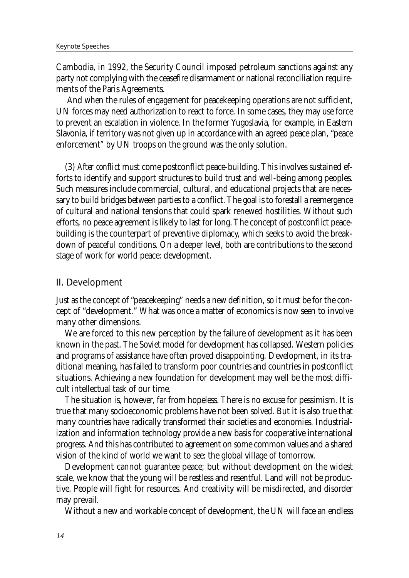Cambodia, in 1992, the Security Council imposed petroleum sanctions against any party not complying with the ceasefire disarmament or national reconciliation requirements of the Paris Agreements.

 And when the rules of engagement for peacekeeping operations are not sufficient, UN forces may need authorization to react to force. In some cases, they may use force to prevent an escalation in violence. In the former Yugoslavia, for example, in Eastern Slavonia, if territory was not given up in accordance with an agreed peace plan, "peace enforcement" by UN troops on the ground was the only solution.

(3) *After conflict* must come postconflict peace-building. This involves sustained efforts to identify and support structures to build trust and well-being among peoples. Such measures include commercial, cultural, and educational projects that are necessary to build bridges between parties to a conflict. The goal is to forestall a reemergence of cultural and national tensions that could spark renewed hostilities. Without such efforts, no peace agreement is likely to last for long. The concept of postconflict peacebuilding is the counterpart of preventive diplomacy, which seeks to avoid the breakdown of peaceful conditions. On a deeper level, both are contributions to the second stage of work for world peace: development.

#### II. Development

Just as the concept of "peacekeeping" needs a new definition, so it must be for the concept of "development." What was once a matter of economics is now seen to involve many other dimensions.

We are forced to this new perception by the failure of development as it has been known in the past. The Soviet model for development has collapsed. Western policies and programs of assistance have often proved disappointing. Development, in its traditional meaning, has failed to transform poor countries and countries in postconflict situations. Achieving a new foundation for development may well be the most difficult intellectual task of our time.

The situation is, however, far from hopeless. There is no excuse for pessimism. It is true that many socioeconomic problems have not been solved. But it is also true that many countries have radically transformed their societies and economies. Industrialization and information technology provide a new basis for cooperative international progress. And this has contributed to agreement on some common values and a shared vision of the kind of world we want to see: the global village of tomorrow.

Development cannot guarantee peace; but without development on the widest scale, we know that the young will be restless and resentful. Land will not be productive. People will fight for resources. And creativity will be misdirected, and disorder may prevail.

Without a new and workable concept of development, the UN will face an endless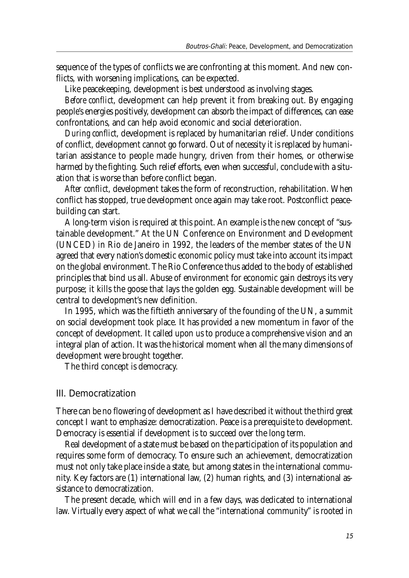sequence of the types of conflicts we are confronting at this moment. And new conflicts, with worsening implications, can be expected.

Like peacekeeping, development is best understood as involving stages.

*Before conflict*, development can help prevent it from breaking out. By engaging people's energies positively, development can absorb the impact of differences, can ease confrontations, and can help avoid economic and social deterioration.

*During conflict*, development is replaced by humanitarian relief. Under conditions of conflict, development cannot go forward. Out of necessity it is replaced by humanitarian assistance to people made hungry, driven from their homes, or otherwise harmed by the fighting. Such relief efforts, even when successful, conclude with a situation that is worse than before conflict began.

*After conflict*, development takes the form of reconstruction, rehabilitation. When conflict has stopped, true development once again may take root. Postconflict peacebuilding can start.

A long-term vision is required at this point. An example is the new concept of "sustainable development." At the UN Conference on Environment and Development (UNCED) in Rio de Janeiro in 1992, the leaders of the member states of the UN agreed that every nation's domestic economic policy must take into account its impact on the global environment. The Rio Conference thus added to the body of established principles that bind us all. Abuse of environment for economic gain destroys its very purpose; it kills the goose that lays the golden egg. Sustainable development will be central to development's new definition.

In 1995, which was the fiftieth anniversary of the founding of the UN, a summit on social development took place. It has provided a new momentum in favor of the concept of development. It called upon us to produce a comprehensive vision and an integral plan of action. It was the historical moment when all the many dimensions of development were brought together.

The third concept is democracy.

#### III. Democratization

There can be no flowering of development as I have described it without the third great concept I want to emphasize: democratization. Peace is a prerequisite to development. Democracy is essential if development is to succeed over the long term.

Real development of a state must be based on the participation of its population and requires some form of democracy. To ensure such an achievement, democratization must not only take place inside a state, but among states in the international community. Key factors are (1) international law, (2) human rights, and (3) international assistance to democratization.

The present decade, which will end in a few days, was dedicated to international law. Virtually every aspect of what we call the "international community" is rooted in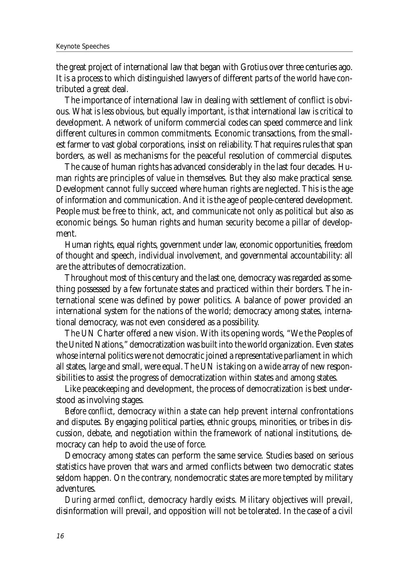the great project of international law that began with Grotius over three centuries ago. It is a process to which distinguished lawyers of different parts of the world have contributed a great deal.

The importance of international law in dealing with settlement of conflict is obvious. What is less obvious, but equally important, is that international law is critical to development. A network of uniform commercial codes can speed commerce and link different cultures in common commitments. Economic transactions, from the smallest farmer to vast global corporations, insist on reliability. That requires rules that span borders, as well as mechanisms for the peaceful resolution of commercial disputes.

The cause of human rights has advanced considerably in the last four decades. Human rights are principles of value in themselves. But they also make practical sense. Development cannot fully succeed where human rights are neglected. This is the age of information and communication. And it is the age of people-centered development. People must be free to think, act, and communicate not only as political but also as economic beings. So human rights and human security become a pillar of development.

Human rights, equal rights, government under law, economic opportunities, freedom of thought and speech, individual involvement, and governmental accountability: all are the attributes of democratization.

Throughout most of this century and the last one, democracy was regarded as something possessed by a few fortunate states and practiced within their borders. The international scene was defined by power politics. A balance of power provided an international system for the nations of the world; democracy among states, international democracy, was not even considered as a possibility.

The UN Charter offered a new vision. With its opening words, "We the Peoples of the United Nations," democratization was built into the world organization. Even states whose internal politics were not democratic joined a representative parliament in which all states, large and small, were equal. The UN is taking on a wide array of new responsibilities to assist the progress of democratization within states *and* among states.

Like peacekeeping and development, the process of democratization is best understood as involving stages.

*Before conflict*, democracy *within* a state can help prevent internal confrontations and disputes. By engaging political parties, ethnic groups, minorities, or tribes in discussion, debate, and negotiation within the framework of national institutions, democracy can help to avoid the use of force.

Democracy among states can perform the same service. Studies based on serious statistics have proven that wars and armed conflicts between two democratic states seldom happen. On the contrary, nondemocratic states are more tempted by military adventures.

*During armed conflict*, democracy hardly exists. Military objectives will prevail, disinformation will prevail, and opposition will not be tolerated. In the case of a civil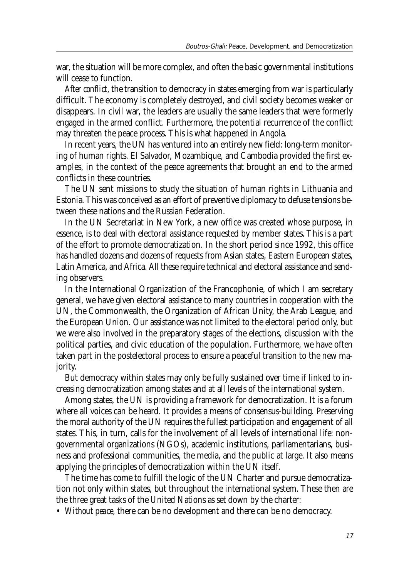war, the situation will be more complex, and often the basic governmental institutions will cease to function.

*After conflict*, the transition to democracy in states emerging from war is particularly difficult. The economy is completely destroyed, and civil society becomes weaker or disappears. In civil war, the leaders are usually the same leaders that were formerly engaged in the armed conflict. Furthermore, the potential recurrence of the conflict may threaten the peace process. This is what happened in Angola.

In recent years, the UN has ventured into an entirely new field: long-term monitoring of human rights. El Salvador, Mozambique, and Cambodia provided the first examples, in the context of the peace agreements that brought an end to the armed conflicts in these countries.

The UN sent missions to study the situation of human rights in Lithuania and Estonia. This was conceived as an effort of preventive diplomacy to defuse tensions between these nations and the Russian Federation.

In the UN Secretariat in New York, a new office was created whose purpose, in essence, is to deal with electoral assistance requested by member states. This is a part of the effort to promote democratization. In the short period since 1992, this office has handled dozens and dozens of requests from Asian states, Eastern European states, Latin America, and Africa. All these require technical and electoral assistance and sending observers.

In the International Organization of the Francophonie, of which I am secretary general, we have given electoral assistance to many countries in cooperation with the UN, the Commonwealth, the Organization of African Unity, the Arab League, and the European Union. Our assistance was not limited to the electoral period only, but we were also involved in the preparatory stages of the elections, discussion with the political parties, and civic education of the population. Furthermore, we have often taken part in the postelectoral process to ensure a peaceful transition to the new majority.

But democracy within states may only be fully sustained over time if linked to increasing democratization among states and at all levels of the international system.

Among states, the UN is providing a framework for democratization. It is a forum where all voices can be heard. It provides a means of consensus-building. Preserving the moral authority of the UN requires the fullest participation and engagement of all states. This, in turn, calls for the involvement of all levels of international life: nongovernmental organizations (NGOs), academic institutions, parliamentarians, business and professional communities, the media, and the public at large. It also means applying the principles of democratization within the UN itself.

The time has come to fulfill the logic of the UN Charter and pursue democratization not only within states, but throughout the international system. These then are the three great tasks of the United Nations as set down by the charter:

• *Without peace*, there can be no development and there can be no democracy.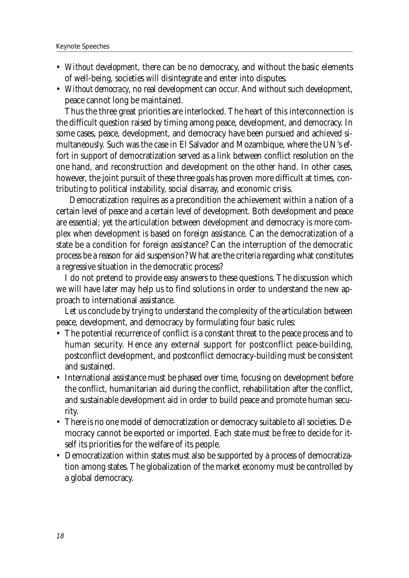- *Without development*, there can be no democracy, and without the basic elements of well-being, societies will disintegrate and enter into disputes.
- *Without democracy*, no real development can occur. And without such development, peace cannot long be maintained.

Thus the three great priorities are interlocked. The heart of this interconnection is the difficult question raised by timing among peace, development, and democracy. In some cases, peace, development, and democracy have been pursued and achieved simultaneously. Such was the case in El Salvador and Mozambique, where the UN's effort in support of democratization served as a link between conflict resolution on the one hand, and reconstruction and development on the other hand. In other cases, however, the joint pursuit of these three goals has proven more difficult at times, contributing to political instability, social disarray, and economic crisis.

 Democratization requires as a precondition the achievement within a nation of a certain level of peace and a certain level of development. Both development and peace are essential; yet the articulation between development and democracy is more complex when development is based on foreign assistance. Can the democratization of a state be a condition for foreign assistance? Can the interruption of the democratic process be a reason for aid suspension? What are the criteria regarding what constitutes a regressive situation in the democratic process?

I do not pretend to provide easy answers to these questions. The discussion which we will have later may help us to find solutions in order to understand the new approach to international assistance.

Let us conclude by trying to understand the complexity of the articulation between peace, development, and democracy by formulating four basic rules:

- The potential recurrence of conflict is a constant threat to the peace process and to human security. Hence any external support for postconflict peace-building, postconflict development, and postconflict democracy-building must be consistent and sustained.
- International assistance must be phased over time, focusing on development before the conflict, humanitarian aid during the conflict, rehabilitation after the conflict, and sustainable development aid in order to build peace and promote human security.
- There is no one model of democratization or democracy suitable to all societies. Democracy cannot be exported or imported. Each state must be free to decide for itself its priorities for the welfare of its people.
- Democratization within states must also be supported by a process of democratization among states. The globalization of the market economy must be controlled by a global democracy.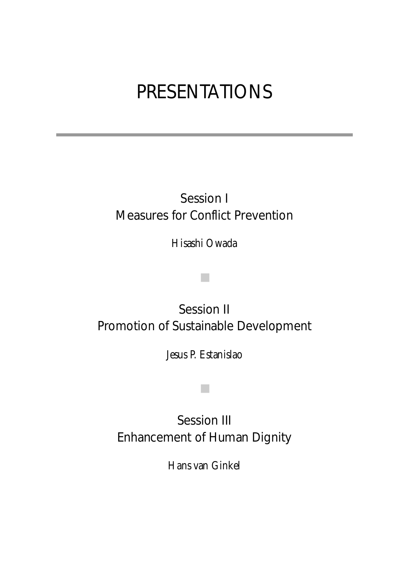# PRESENTATIONS

## Session I Measures for Conflict Prevention

Hisashi Owada

■

## Session II Promotion of Sustainable Development

Jesus P. Estanislao

■

Session III Enhancement of Human Dignity

Hans van Ginkel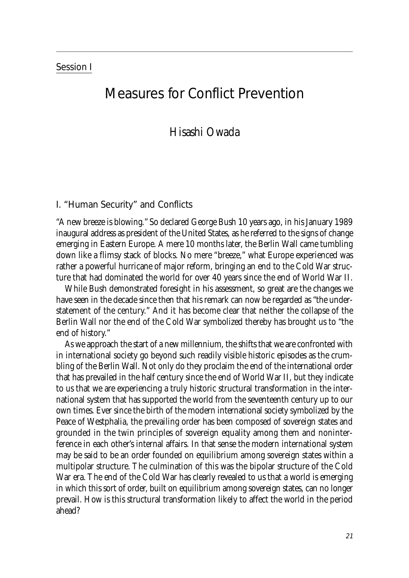#### Session I

### Measures for Conflict Prevention

### Hisashi Owada

#### I. "Human Security" and Conflicts

"A new breeze is blowing." So declared George Bush 10 years ago, in his January 1989 inaugural address as president of the United States, as he referred to the signs of change emerging in Eastern Europe. A mere 10 months later, the Berlin Wall came tumbling down like a flimsy stack of blocks. No mere "breeze," what Europe experienced was rather a powerful hurricane of major reform, bringing an end to the Cold War structure that had dominated the world for over 40 years since the end of World War II.

While Bush demonstrated foresight in his assessment, so great are the changes we have seen in the decade since then that his remark can now be regarded as "the understatement of the century." And it has become clear that neither the collapse of the Berlin Wall nor the end of the Cold War symbolized thereby has brought us to "the end of history."

As we approach the start of a new millennium, the shifts that we are confronted with in international society go beyond such readily visible historic episodes as the crumbling of the Berlin Wall. Not only do they proclaim the end of the international order that has prevailed in the half century since the end of World War II, but they indicate to us that we are experiencing a truly historic structural transformation in the international system that has supported the world from the seventeenth century up to our own times. Ever since the birth of the modern international society symbolized by the Peace of Westphalia, the prevailing order has been composed of sovereign states and grounded in the twin principles of sovereign equality among them and noninterference in each other's internal affairs. In that sense the modern international system may be said to be an order founded on equilibrium among sovereign states within a multipolar structure. The culmination of this was the bipolar structure of the Cold War era. The end of the Cold War has clearly revealed to us that a world is emerging in which this sort of order, built on equilibrium among sovereign states, can no longer prevail. How is this structural transformation likely to affect the world in the period ahead?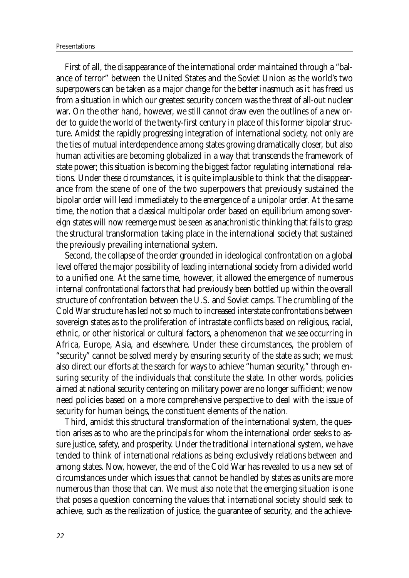First of all, the disappearance of the international order maintained through a "balance of terror" between the United States and the Soviet Union as the world's two superpowers can be taken as a major change for the better inasmuch as it has freed us from a situation in which our greatest security concern was the threat of all-out nuclear war. On the other hand, however, we still cannot draw even the outlines of a new order to guide the world of the twenty-first century in place of this former bipolar structure. Amidst the rapidly progressing integration of international society, not only are the ties of mutual interdependence among states growing dramatically closer, but also human activities are becoming globalized in a way that transcends the framework of state power; this situation is becoming the biggest factor regulating international relations. Under these circumstances, it is quite implausible to think that the disappearance from the scene of one of the two superpowers that previously sustained the bipolar order will lead immediately to the emergence of a unipolar order. At the same time, the notion that a classical multipolar order based on equilibrium among sovereign states will now reemerge must be seen as anachronistic thinking that fails to grasp the structural transformation taking place in the international society that sustained the previously prevailing international system.

Second, the collapse of the order grounded in ideological confrontation on a global level offered the major possibility of leading international society from a divided world to a unified one. At the same time, however, it allowed the emergence of numerous internal confrontational factors that had previously been bottled up within the overall structure of confrontation between the U.S. and Soviet camps. The crumbling of the Cold War structure has led not so much to increased interstate confrontations between sovereign states as to the proliferation of intrastate conflicts based on religious, racial, ethnic, or other historical or cultural factors, a phenomenon that we see occurring in Africa, Europe, Asia, and elsewhere. Under these circumstances, the problem of "security" cannot be solved merely by ensuring security of the state as such; we must also direct our efforts at the search for ways to achieve "human security," through ensuring security of the individuals that constitute the state. In other words, policies aimed at national security centering on military power are no longer sufficient; we now need policies based on a more comprehensive perspective to deal with the issue of security for human beings, the constituent elements of the nation.

Third, amidst this structural transformation of the international system, the question arises as to who are the principals for whom the international order seeks to assure justice, safety, and prosperity. Under the traditional international system, we have tended to think of international relations as being exclusively relations between and among states. Now, however, the end of the Cold War has revealed to us a new set of circumstances under which issues that cannot be handled by states as units are more numerous than those that can. We must also note that the emerging situation is one that poses a question concerning the values that international society should seek to achieve, such as the realization of justice, the guarantee of security, and the achieve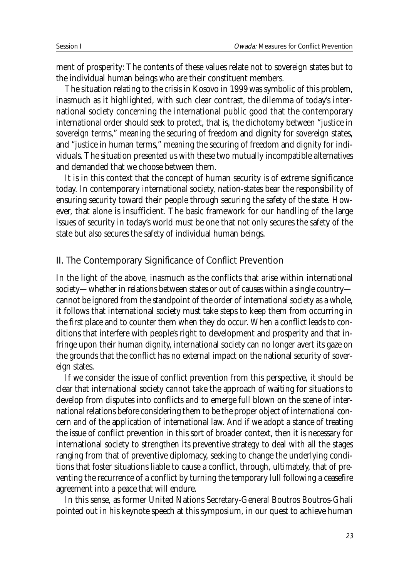ment of prosperity: The contents of these values relate not to sovereign states but to the individual human beings who are their constituent members.

The situation relating to the crisis in Kosovo in 1999was symbolic of this problem, inasmuch as it highlighted, with such clear contrast, the dilemma of today's international society concerning the international public good that the contemporary international order should seek to protect, that is, the dichotomy between "justice in sovereign terms," meaning the securing of freedom and dignity for sovereign states, and "justice in human terms," meaning the securing of freedom and dignity for individuals. The situation presented us with these two mutually incompatible alternatives and demanded that we choose between them.

It is in this context that the concept of human security is of extreme significance today. In contemporary international society, nation-states bear the responsibility of ensuring security toward their people through securing the safety of the state. However, that alone is insufficient. The basic framework for our handling of the large issues of security in today's world must be one that not only secures the safety of the state but also secures the safety of individual human beings.

#### II. The Contemporary Significance of Conflict Prevention

In the light of the above, inasmuch as the conflicts that arise within international society—whether in relations between states or out of causes within a single country cannot be ignored from the standpoint of the order of international society as a whole, it follows that international society must take steps to keep them from occurring in the first place and to counter them when they do occur. When a conflict leads to conditions that interfere with people's right to development and prosperity and that infringe upon their human dignity, international society can no longer avert its gaze on the grounds that the conflict has no external impact on the national security of sovereign states.

If we consider the issue of conflict prevention from this perspective, it should be clear that international society cannot take the approach of waiting for situations to develop from disputes into conflicts and to emerge full blown on the scene of international relations before considering them to be the proper object of international concern and of the application of international law. And if we adopt a stance of treating the issue of conflict prevention in this sort of broader context, then it is necessary for international society to strengthen its preventive strategy to deal with all the stages ranging from that of preventive diplomacy, seeking to change the underlying conditions that foster situations liable to cause a conflict, through, ultimately, that of preventing the recurrence of a conflict by turning the temporary lull following a ceasefire agreement into a peace that will endure.

In this sense, as former United Nations Secretary-General Boutros Boutros-Ghali pointed out in his keynote speech at this symposium, in our quest to achieve human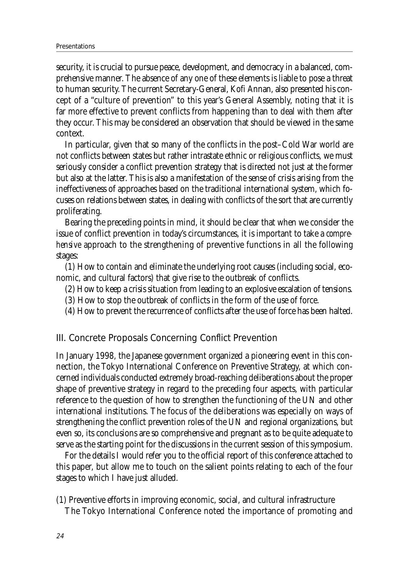security, it is crucial to pursue peace, development, and democracy in a balanced, comprehensive manner. The absence of any one of these elements is liable to pose a threat to human security. The current Secretary-General, Kofi Annan, also presented his concept of a "culture of prevention" to this year's General Assembly, noting that it is far more effective to prevent conflicts from happening than to deal with them after they occur. This may be considered an observation that should be viewed in the same context.

In particular, given that so many of the conflicts in the post–Cold War world are not conflicts between states but rather intrastate ethnic or religious conflicts, we must seriously consider a conflict prevention strategy that is directed not just at the former but also at the latter. This is also a manifestation of the sense of crisis arising from the ineffectiveness of approaches based on the traditional international system, which focuses on relations between states, in dealing with conflicts of the sort that are currently proliferating.

Bearing the preceding points in mind, it should be clear that when we consider the issue of conflict prevention in today's circumstances, it is important to take a *comprehensive* approach to the strengthening of preventive functions in all the following stages:

(1) How to contain and eliminate the underlying root causes (including social, economic, and cultural factors) that give rise to the outbreak of conflicts.

- (2) How to keep a crisis situation from leading to an explosive escalation of tensions.
- (3) How to stop the outbreak of conflicts in the form of the use of force.
- (4) How to prevent the recurrence of conflicts after the use of force has been halted.

#### III. Concrete Proposals Concerning Conflict Prevention

In January 1998, the Japanese government organized a pioneering event in this connection, the Tokyo International Conference on Preventive Strategy, at which concerned individuals conducted extremely broad-reaching deliberations about the proper shape of preventive strategy in regard to the preceding four aspects, with particular reference to the question of how to strengthen the functioning of the UN and other international institutions. The focus of the deliberations was especially on ways of strengthening the conflict prevention roles of the UN and regional organizations, but even so, its conclusions are so comprehensive and pregnant as to be quite adequate to serve as the starting point for the discussions in the current session of this symposium.

For the details I would refer you to the official report of this conference attached to this paper, but allow me to touch on the salient points relating to each of the four stages to which I have just alluded.

(1) Preventive efforts in improving economic, social, and cultural infrastructure

The Tokyo International Conference noted the importance of promoting and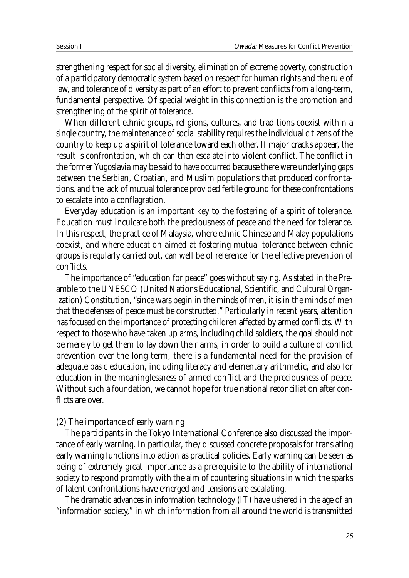strengthening respect for social diversity, elimination of extreme poverty, construction of a participatory democratic system based on respect for human rights and the rule of law, and tolerance of diversity as part of an effort to prevent conflicts from a long-term, fundamental perspective. Of special weight in this connection is the promotion and strengthening of the spirit of tolerance.

When different ethnic groups, religions, cultures, and traditions coexist within a single country, the maintenance of social stability requires the individual citizens of the country to keep up a spirit of tolerance toward each other. If major cracks appear, the result is confrontation, which can then escalate into violent conflict. The conflict in the former Yugoslavia may be said to have occurred because there were underlying gaps between the Serbian, Croatian, and Muslim populations that produced confrontations, and the lack of mutual tolerance provided fertile ground for these confrontations to escalate into a conflagration.

Everyday education is an important key to the fostering of a spirit of tolerance. Education must inculcate both the preciousness of peace and the need for tolerance. In this respect, the practice of Malaysia, where ethnic Chinese and Malay populations coexist, and where education aimed at fostering mutual tolerance between ethnic groups is regularly carried out, can well be of reference for the effective prevention of conflicts.

The importance of "education for peace" goes without saying. As stated in the Preamble to the UNESCO (United Nations Educational, Scientific, and Cultural Organization) Constitution, "since wars begin in the minds of men, it is in the minds of men that the defenses of peace must be constructed." Particularly in recent years, attention has focused on the importance of protecting children affected by armed conflicts. With respect to those who have taken up arms, including child soldiers, the goal should not be merely to get them to lay down their arms; in order to build a culture of conflict prevention over the long term, there is a fundamental need for the provision of adequate basic education, including literacy and elementary arithmetic, and also for education in the meaninglessness of armed conflict and the preciousness of peace. Without such a foundation, we cannot hope for true national reconciliation after conflicts are over.

#### (2) The importance of early warning

The participants in the Tokyo International Conference also discussed the importance of early warning. In particular, they discussed concrete proposals for translating early warning functions into action as practical policies. Early warning can be seen as being of extremely great importance as a prerequisite to the ability of international society to respond promptly with the aim of countering situations in which the sparks of latent confrontations have emerged and tensions are escalating.

The dramatic advances in information technology (IT) have ushered in the age of an "information society," in which information from all around the world is transmitted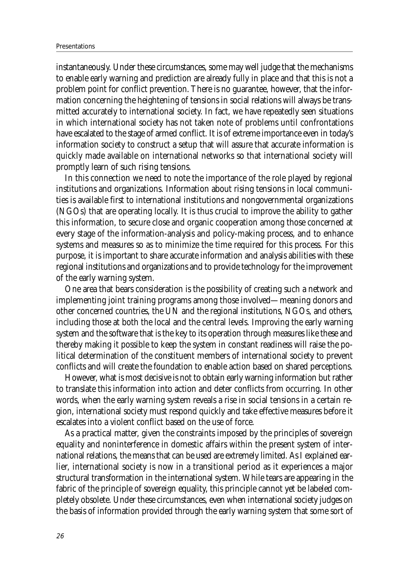instantaneously. Under these circumstances, some may well judge that the mechanisms to enable early warning and prediction are already fully in place and that this is not a problem point for conflict prevention. There is no guarantee, however, that the information concerning the heightening of tensions in social relations will always be transmitted accurately to international society. In fact, we have repeatedly seen situations in which international society has not taken note of problems until confrontations have escalated to the stage of armed conflict. It is of extreme importance even in today's information society to construct a setup that will assure that accurate information is quickly made available on international networks so that international society will promptly learn of such rising tensions.

In this connection we need to note the importance of the role played by regional institutions and organizations. Information about rising tensions in local communities is available first to international institutions and nongovernmental organizations (NGOs) that are operating locally. It is thus crucial to improve the ability to gather this information, to secure close and organic cooperation among those concerned at every stage of the information-analysis and policy-making process, and to enhance systems and measures so as to minimize the time required for this process. For this purpose, it is important to share accurate information and analysis abilities with these regional institutions and organizations and to provide technology for the improvement of the early warning system.

One area that bears consideration is the possibility of creating such a network and implementing joint training programs among those involved—meaning donors and other concerned countries, the UN and the regional institutions, NGOs, and others, including those at both the local and the central levels. Improving the early warning system and the software that is the key to its operation through measures like these and thereby making it possible to keep the system in constant readiness will raise the political determination of the constituent members of international society to prevent conflicts and will create the foundation to enable action based on shared perceptions.

However, what is most decisive is not to obtain early warning information but rather to translate this information into action and deter conflicts from occurring. In other words, when the early warning system reveals a rise in social tensions in a certain region, international society must respond quickly and take effective measures before it escalates into a violent conflict based on the use of force.

As a practical matter, given the constraints imposed by the principles of sovereign equality and noninterference in domestic affairs within the present system of international relations, the means that can be used are extremely limited. As I explained earlier, international society is now in a transitional period as it experiences a major structural transformation in the international system. While tears are appearing in the fabric of the principle of sovereign equality, this principle cannot yet be labeled completely obsolete. Under these circumstances, even when international society judges on the basis of information provided through the early warning system that some sort of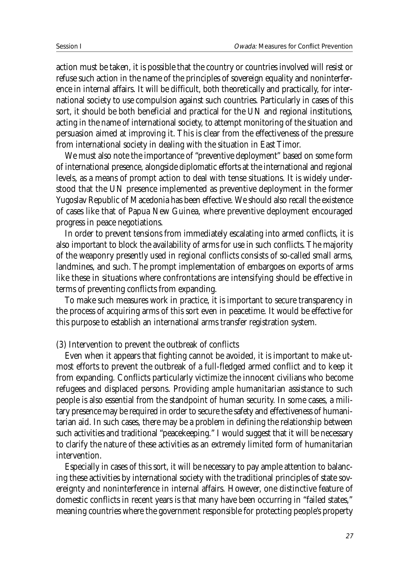action must be taken, it is possible that the country or countries involved will resist or refuse such action in the name of the principles of sovereign equality and noninterference in internal affairs. It will be difficult, both theoretically and practically, for international society to use compulsion against such countries. Particularly in cases of this sort, it should be both beneficial and practical for the UN and regional institutions, acting in the name of international society, to attempt monitoring of the situation and persuasion aimed at improving it. This is clear from the effectiveness of the pressure from international society in dealing with the situation in East Timor.

We must also note the importance of "preventive deployment" based on some form of international presence, alongside diplomatic efforts at the international and regional levels, as a means of prompt action to deal with tense situations. It is widely understood that the UN presence implemented as preventive deployment in the former Yugoslav Republic of Macedonia has been effective. We should also recall the existence of cases like that of Papua New Guinea, where preventive deployment encouraged progress in peace negotiations.

In order to prevent tensions from immediately escalating into armed conflicts, it is also important to block the availability of arms for use in such conflicts. The majority of the weaponry presently used in regional conflicts consists of so-called small arms, landmines, and such. The prompt implementation of embargoes on exports of arms like these in situations where confrontations are intensifying should be effective in terms of preventing conflicts from expanding.

To make such measures work in practice, it is important to secure transparency in the process of acquiring arms of this sort even in peacetime. It would be effective for this purpose to establish an international arms transfer registration system.

(3) Intervention to prevent the outbreak of conflicts

Even when it appears that fighting cannot be avoided, it is important to make utmost efforts to prevent the outbreak of a full-fledged armed conflict and to keep it from expanding. Conflicts particularly victimize the innocent civilians who become refugees and displaced persons. Providing ample humanitarian assistance to such people is also essential from the standpoint of human security. In some cases, a military presence may be required in order to secure the safety and effectiveness of humanitarian aid. In such cases, there may be a problem in defining the relationship between such activities and traditional "peacekeeping." I would suggest that it will be necessary to clarify the nature of these activities as an extremely limited form of humanitarian intervention.

Especially in cases of this sort, it will be necessary to pay ample attention to balancing these activities by international society with the traditional principles of state sovereignty and noninterference in internal affairs. However, one distinctive feature of domestic conflicts in recent years is that many have been occurring in "failed states," meaning countries where the government responsible for protecting people's property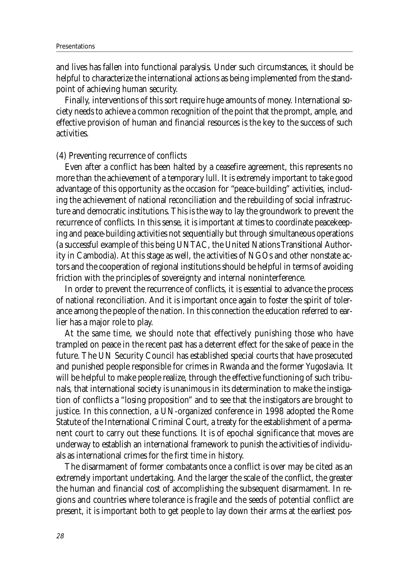and lives has fallen into functional paralysis. Under such circumstances, it should be helpful to characterize the international actions as being implemented from the standpoint of achieving human security.

Finally, interventions of this sort require huge amounts of money. International society needs to achieve a common recognition of the point that the prompt, ample, and effective provision of human and financial resources is the key to the success of such activities.

#### (4) Preventing recurrence of conflicts

Even after a conflict has been halted by a ceasefire agreement, this represents no more than the achievement of a temporary lull. It is extremely important to take good advantage of this opportunity as the occasion for "peace-building" activities, including the achievement of national reconciliation and the rebuilding of social infrastructure and democratic institutions. This is the way to lay the groundwork to prevent the recurrence of conflicts. In this sense, it is important at times to coordinate peacekeeping and peace-building activities not sequentially but through simultaneous operations (a successful example of this being UNTAC, the United Nations Transitional Authority in Cambodia). At this stage as well, the activities of NGOs and other nonstate actors and the cooperation of regional institutions should be helpful in terms of avoiding friction with the principles of sovereignty and internal noninterference.

In order to prevent the recurrence of conflicts, it is essential to advance the process of national reconciliation. And it is important once again to foster the spirit of tolerance among the people of the nation. In this connection the education referred to earlier has a major role to play.

At the same time, we should note that effectively punishing those who have trampled on peace in the recent past has a deterrent effect for the sake of peace in the future. The UN Security Council has established special courts that have prosecuted and punished people responsible for crimes in Rwanda and the former Yugoslavia. It will be helpful to make people realize, through the effective functioning of such tribunals, that international society is unanimous in its determination to make the instigation of conflicts a "losing proposition" and to see that the instigators are brought to justice. In this connection, a UN-organized conference in 1998 adopted the Rome Statute of the International Criminal Court, a treaty for the establishment of a permanent court to carry out these functions. It is of epochal significance that moves are underway to establish an international framework to punish the activities of individuals as international crimes for the first time in history.

The disarmament of former combatants once a conflict is over may be cited as an extremely important undertaking. And the larger the scale of the conflict, the greater the human and financial cost of accomplishing the subsequent disarmament. In regions and countries where tolerance is fragile and the seeds of potential conflict are present, it is important both to get people to lay down their arms at the earliest pos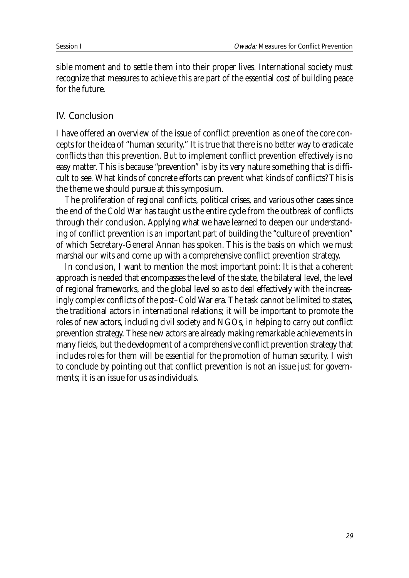sible moment and to settle them into their proper lives. International society must recognize that measures to achieve this are part of the essential cost of building peace for the future.

#### IV. Conclusion

I have offered an overview of the issue of conflict prevention as one of the core concepts for the idea of "human security." It is true that there is no better way to eradicate conflicts than this prevention. But to implement conflict prevention effectively is no easy matter. This is because "prevention" is by its very nature something that is difficult to see. What kinds of concrete efforts can prevent what kinds of conflicts? This is the theme we should pursue at this symposium.

The proliferation of regional conflicts, political crises, and various other cases since the end of the Cold War has taught us the entire cycle from the outbreak of conflicts through their conclusion. Applying what we have learned to deepen our understanding of conflict prevention is an important part of building the "culture of prevention" of which Secretary-General Annan has spoken. This is the basis on which we must marshal our wits and come up with a comprehensive conflict prevention strategy.

In conclusion, I want to mention the most important point: It is that a coherent approach is needed that encompasses the level of the state, the bilateral level, the level of regional frameworks, and the global level so as to deal effectively with the increasingly complex conflicts of the post–Cold War era. The task cannot be limited to states, the traditional actors in international relations; it will be important to promote the roles of new actors, including civil society and NGOs, in helping to carry out conflict prevention strategy. These new actors are already making remarkable achievements in many fields, but the development of a comprehensive conflict prevention strategy that includes roles for them will be essential for the promotion of human security. I wish to conclude by pointing out that conflict prevention is not an issue just for governments; it is an issue for us as individuals.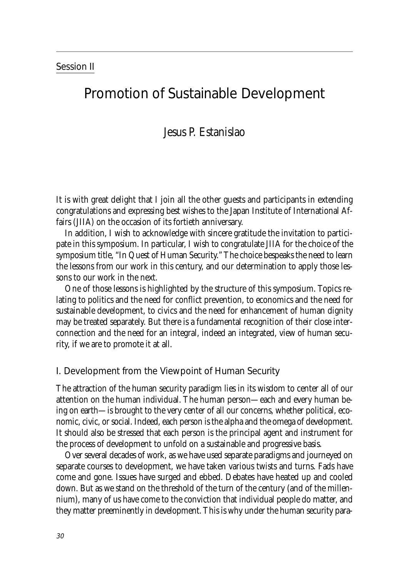#### Session II

### Promotion of Sustainable Development

### Jesus P. Estanislao

It is with great delight that I join all the other guests and participants in extending congratulations and expressing best wishes to the Japan Institute of International Affairs (JIIA) on the occasion of its fortieth anniversary.

In addition, I wish to acknowledge with sincere gratitude the invitation to participate in this symposium. In particular, I wish to congratulate JIIA for the choice of the symposium title, "In Quest of Human Security." The choice bespeaks the need to learn the lessons from our work in this century, and our determination to apply those lessons to our work in the next.

One of those lessons is highlighted by the structure of this symposium. Topics relating to politics and the need for conflict prevention, to economics and the need for sustainable development, to civics and the need for enhancement of human dignity may be treated separately. But there is a fundamental recognition of their close interconnection and the need for an integral, indeed an integrated, view of human security, if we are to promote it at all.

#### I. Development from the Viewpoint of Human Security

The attraction of the human security paradigm lies in its wisdom to center all of our attention on the human individual. The human person—each and every human being on earth—is brought to the very center of all our concerns, whether political, economic, civic, or social. Indeed, each person is the alpha and the omega of development. It should also be stressed that each person is the principal agent and instrument for the process of development to unfold on a sustainable and progressive basis.

Over several decades of work, as we have used separate paradigms and journeyed on separate courses to development, we have taken various twists and turns. Fads have come and gone. Issues have surged and ebbed. Debates have heated up and cooled down. But as we stand on the threshold of the turn of the century (and of the millennium), many of us have come to the conviction that individual people do matter, and they matter preeminently in development. This is why under the human security para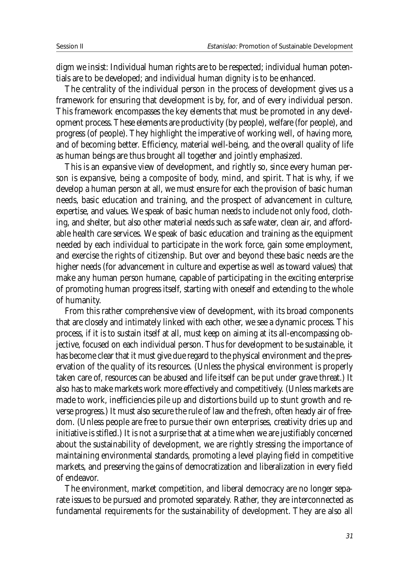digm we insist: Individual human rights are to be respected; individual human potentials are to be developed; and individual human dignity is to be enhanced.

The centrality of the individual person in the process of development gives us a framework for ensuring that development is by, for, and of every individual person. This framework encompasses the key elements that must be promoted in any development process. These elements are productivity (by people), welfare (for people), and progress (of people). They highlight the imperative of working well, of having more, and of becoming better. Efficiency, material well-being, and the overall quality of life as human beings are thus brought all together and jointly emphasized.

This is an expansive view of development, and rightly so, since every human person is expansive, being a composite of body, mind, and spirit. That is why, if we develop a human person at all, we must ensure for each the provision of basic human needs, basic education and training, and the prospect of advancement in culture, expertise, and values. We speak of basic human needs to include not only food, clothing, and shelter, but also other material needs such as safe water, clean air, and affordable health care services. We speak of basic education and training as the equipment needed by each individual to participate in the work force, gain some employment, and exercise the rights of citizenship. But over and beyond these basic needs are the higher needs (for advancement in culture and expertise as well as toward values) that make any human person humane, capable of participating in the exciting enterprise of promoting human progress itself, starting with oneself and extending to the whole of humanity.

From this rather comprehensive view of development, with its broad components that are closely and intimately linked with each other, we see a dynamic process. This process, if it is to sustain itself at all, must keep on aiming at its all-encompassing objective, focused on each individual person. Thus for development to be sustainable, it has become clear that it must give due regard to the physical environment and the preservation of the quality of its resources. (Unless the physical environment is properly taken care of, resources can be abused and life itself can be put under grave threat.) It also has to make markets work more effectively and competitively. (Unless markets are made to work, inefficiencies pile up and distortions build up to stunt growth and reverse progress.) It must also secure the rule of law and the fresh, often heady air of freedom. (Unless people are free to pursue their own enterprises, creativity dries up and initiative is stifled.) It is not a surprise that at a time when we are justifiably concerned about the sustainability of development, we are rightly stressing the importance of maintaining environmental standards, promoting a level playing field in competitive markets, and preserving the gains of democratization and liberalization in every field of endeavor.

The environment, market competition, and liberal democracy are no longer separate issues to be pursued and promoted separately. Rather, they are interconnected as fundamental requirements for the sustainability of development. They are also all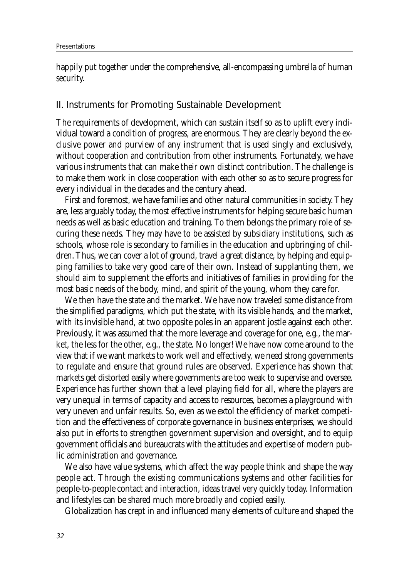happily put together under the comprehensive, all-encompassing umbrella of human security.

#### II. Instruments for Promoting Sustainable Development

The requirements of development, which can sustain itself so as to uplift every individual toward a condition of progress, are enormous. They are clearly beyond the exclusive power and purview of any instrument that is used singly and exclusively, without cooperation and contribution from other instruments. Fortunately, we have various instruments that can make their own distinct contribution. The challenge is to make them work in close cooperation with each other so as to secure progress for every individual in the decades and the century ahead.

First and foremost, we have families and other natural communities in society. They are, less arguably today, the most effective instruments for helping secure basic human needs as well as basic education and training. To them belongs the primary role of securing these needs. They may have to be assisted by subsidiary institutions, such as schools, whose role is secondary to families in the education and upbringing of children. Thus, we can cover a lot of ground, travel a great distance, by helping and equipping families to take very good care of their own. Instead of supplanting them, we should aim to supplement the efforts and initiatives of families in providing for the most basic needs of the body, mind, and spirit of the young, whom they care for.

We then have the state and the market. We have now traveled some distance from the simplified paradigms, which put the state, with its visible hands, and the market, with its invisible hand, at two opposite poles in an apparent jostle against each other. Previously, it was assumed that the more leverage and coverage for one, e.g., the market, the less for the other, e.g., the state. No longer! We have now come around to the view that if we want markets to work well and effectively, we need strong governments to regulate and ensure that ground rules are observed. Experience has shown that markets get distorted easily where governments are too weak to supervise and oversee. Experience has further shown that a level playing field for all, where the players are very unequal in terms of capacity and access to resources, becomes a playground with very uneven and unfair results. So, even as we extol the efficiency of market competition and the effectiveness of corporate governance in business enterprises, we should also put in efforts to strengthen government supervision and oversight, and to equip government officials and bureaucrats with the attitudes and expertise of modern public administration and governance.

We also have value systems, which affect the way people think and shape the way people act. Through the existing communications systems and other facilities for people-to-people contact and interaction, ideas travel very quickly today. Information and lifestyles can be shared much more broadly and copied easily.

Globalization has crept in and influenced many elements of culture and shaped the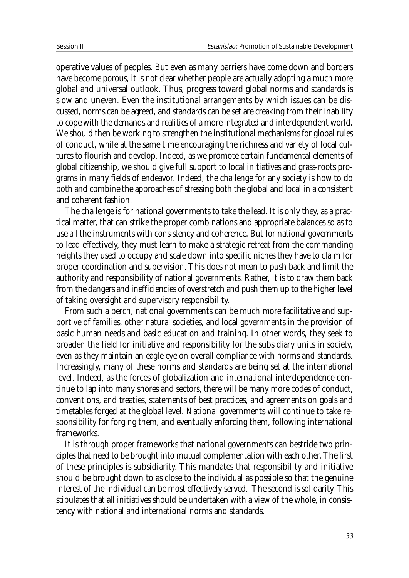operative values of peoples. But even as many barriers have come down and borders have become porous, it is not clear whether people are actually adopting a much more global and universal outlook. Thus, progress toward global norms and standards is slow and uneven. Even the institutional arrangements by which issues can be discussed, norms can be agreed, and standards can be set are creaking from their inability to cope with the demands and realities of a more integrated and interdependent world. We should then be working to strengthen the institutional mechanisms for global rules of conduct, while at the same time encouraging the richness and variety of local cultures to flourish and develop. Indeed, as we promote certain fundamental elements of global citizenship, we should give full support to local initiatives and grass-roots programs in many fields of endeavor. Indeed, the challenge for any society is how to do both and combine the approaches of stressing both the global and local in a consistent and coherent fashion.

The challenge is for national governments to take the lead. It is only they, as a practical matter, that can strike the proper combinations and appropriate balances so as to use all the instruments with consistency and coherence. But for national governments to lead effectively, they must learn to make a strategic retreat from the commanding heights they used to occupy and scale down into specific niches they have to claim for proper coordination and supervision. This does not mean to push back and limit the authority and responsibility of national governments. Rather, it is to draw them back from the dangers and inefficiencies of overstretch and push them up to the higher level of taking oversight and supervisory responsibility.

From such a perch, national governments can be much more facilitative and supportive of families, other natural societies, and local governments in the provision of basic human needs and basic education and training. In other words, they seek to broaden the field for initiative and responsibility for the subsidiary units in society, even as they maintain an eagle eye on overall compliance with norms and standards. Increasingly, many of these norms and standards are being set at the international level. Indeed, as the forces of globalization and international interdependence continue to lap into many shores and sectors, there will be many more codes of conduct, conventions, and treaties, statements of best practices, and agreements on goals and timetables forged at the global level. National governments will continue to take responsibility for forging them, and eventually enforcing them, following international frameworks.

It is through proper frameworks that national governments can bestride two principles that need to be brought into mutual complementation with each other. The first of these principles is subsidiarity. This mandates that responsibility and initiative should be brought down to as close to the individual as possible so that the genuine interest of the individual can be most effectively served. The second is solidarity. This stipulates that all initiatives should be undertaken with a view of the whole, in consistency with national and international norms and standards.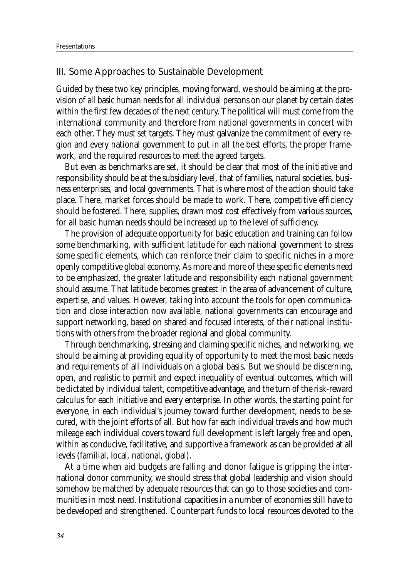#### III. Some Approaches to Sustainable Development

Guided by these two key principles, moving forward, we should be aiming at the provision of all basic human needs for all individual persons on our planet by certain dates within the first few decades of the next century. The political will must come from the international community and therefore from national governments in concert with each other. They must set targets. They must galvanize the commitment of every region and every national government to put in all the best efforts, the proper framework, and the required resources to meet the agreed targets.

But even as benchmarks are set, it should be clear that most of the initiative and responsibility should be at the subsidiary level, that of families, natural societies, business enterprises, and local governments. That is where most of the action should take place. There, market forces should be made to work. There, competitive efficiency should be fostered. There, supplies, drawn most cost effectively from various sources, for all basic human needs should be increased up to the level of sufficiency.

The provision of adequate opportunity for basic education and training can follow some benchmarking, with sufficient latitude for each national government to stress some specific elements, which can reinforce their claim to specific niches in a more openly competitive global economy. As more and more of these specific elements need to be emphasized, the greater latitude and responsibility each national government should assume. That latitude becomes greatest in the area of advancement of culture, expertise, and values. However, taking into account the tools for open communication and close interaction now available, national governments can encourage and support networking, based on shared and focused interests, of their national institutions with others from the broader regional and global community.

Through benchmarking, stressing and claiming specific niches, and networking, we should be aiming at providing equality of opportunity to meet the most basic needs and requirements of all individuals on a global basis. But we should be discerning, open, and realistic to permit and expect inequality of eventual outcomes, which will be dictated by individual talent, competitive advantage, and the turn of the risk-reward calculus for each initiative and every enterprise. In other words, the starting point for everyone, in each individual's journey toward further development, needs to be secured, with the joint efforts of all. But how far each individual travels and how much mileage each individual covers toward full development is left largely free and open, within as conducive, facilitative, and supportive a framework as can be provided at all levels (familial, local, national, global).

At a time when aid budgets are falling and donor fatigue is gripping the international donor community, we should stress that global leadership and vision should somehow be matched by adequate resources that can go to those societies and communities in most need. Institutional capacities in a number of economies still have to be developed and strengthened. Counterpart funds to local resources devoted to the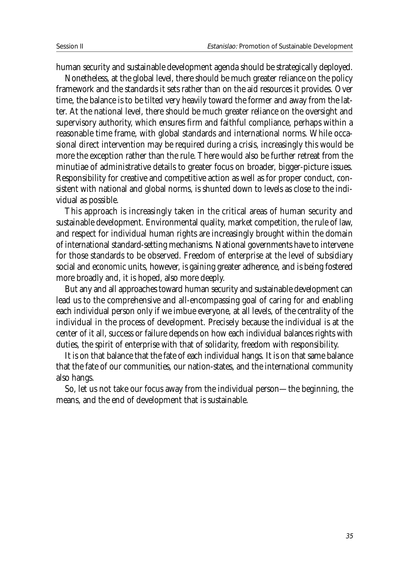human security and sustainable development agenda should be strategically deployed.

Nonetheless, at the global level, there should be much greater reliance on the policy framework and the standards it sets rather than on the aid resources it provides. Over time, the balance is to be tilted very heavily toward the former and away from the latter. At the national level, there should be much greater reliance on the oversight and supervisory authority, which ensures firm and faithful compliance, perhaps within a reasonable time frame, with global standards and international norms. While occasional direct intervention may be required during a crisis, increasingly this would be more the exception rather than the rule. There would also be further retreat from the minutiae of administrative details to greater focus on broader, bigger-picture issues. Responsibility for creative and competitive action as well as for proper conduct, consistent with national and global norms, is shunted down to levels as close to the individual as possible.

This approach is increasingly taken in the critical areas of human security and sustainable development. Environmental quality, market competition, the rule of law, and respect for individual human rights are increasingly brought within the domain of international standard-setting mechanisms. National governments have to intervene for those standards to be observed. Freedom of enterprise at the level of subsidiary social and economic units, however, is gaining greater adherence, and is being fostered more broadly and, it is hoped, also more deeply.

But any and all approaches toward human security and sustainable development can lead us to the comprehensive and all-encompassing goal of caring for and enabling each individual person only if we imbue everyone, at all levels, of the centrality of the individual in the process of development. Precisely because the individual is at the center of it all, success or failure depends on how each individual balances rights with duties, the spirit of enterprise with that of solidarity, freedom with responsibility.

It is on that balance that the fate of each individual hangs. It is on that same balance that the fate of our communities, our nation-states, and the international community also hangs.

So, let us not take our focus away from the individual person—the beginning, the means, and the end of development that is sustainable.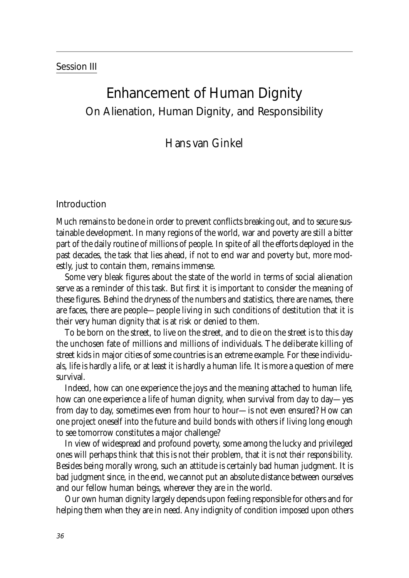#### Session III

## Enhancement of Human Dignity On Alienation, Human Dignity, and Responsibility

#### Hans van Ginkel

#### Introduction

Much remains to be done in order to prevent conflicts breaking out, and to secure sustainable development. In many regions of the world, war and poverty are still a bitter part of the daily routine of millions of people. In spite of all the efforts deployed in the past decades, the task that lies ahead, if not to end war and poverty but, more modestly, just to contain them, remains immense.

Some very bleak figures about the state of the world in terms of social alienation serve as a reminder of this task. But first it is important to consider the meaning of these figures. Behind the dryness of the numbers and statistics, there are names, there are faces, there are people—people living in such conditions of destitution that it is their very human dignity that is at risk or denied to them.

To be born on the street, to live on the street, and to die on the street is to this day the unchosen fate of millions and millions of individuals. The deliberate killing of street kids in major cities of some countries is an extreme example. For these individuals, life is hardly a life, or at least it is hardly a human life. It is more a question of mere survival.

Indeed, how can one experience the joys and the meaning attached to human life, how can one experience a life of human dignity, when survival from day to day—yes from day to day, sometimes even from hour to hour—is not even ensured? How can one project oneself into the future and build bonds with others if living long enough to see tomorrow constitutes a major challenge?

In view of widespread and profound poverty, some among the lucky and privileged ones will perhaps think that this is not their problem, that it is *not their responsibility*. Besides being morally wrong, such an attitude is certainly bad human judgment. It is bad judgment since, in the end, we cannot put an absolute distance between ourselves and our fellow human beings, wherever they are in the world.

Our own human dignity largely depends upon feeling responsible for others and for helping them when they are in need. Any indignity of condition imposed upon others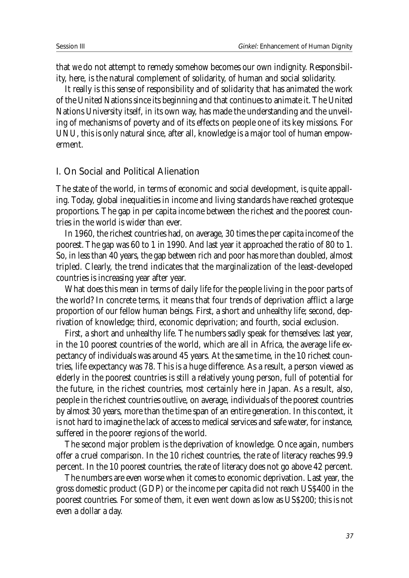that *we* do not attempt to remedy somehow becomes our own indignity. Responsibility, here, is the natural complement of solidarity, of human and social solidarity.

It really is this sense of responsibility and of solidarity that has animated the work of the United Nations since its beginning and that continues to animate it. The United Nations University itself, in its own way, has made the understanding and the unveiling of mechanisms of poverty and of its effects on people one of its key missions. For UNU, this is only natural since, after all, knowledge is a major tool of human empowerment.

#### I. On Social and Political Alienation

The state of the world, in terms of economic and social development, is quite appalling. Today, global inequalities in income and living standards have reached grotesque proportions. The gap in per capita income between the richest and the poorest countries in the world is wider than ever.

In 1960, the richest countries had, on average, 30 times the per capita income of the poorest. The gap was 60 to 1 in 1990. And last year it approached the ratio of 80 to 1. So, in less than 40 years, the gap between rich and poor has more than doubled, almost tripled. Clearly, the trend indicates that the marginalization of the least-developed countries is increasing year after year.

What does this mean in terms of daily life for the people living in the poor parts of the world? In concrete terms, it means that four trends of deprivation afflict a large proportion of our fellow human beings. First, a short and unhealthy life; second, deprivation of knowledge; third, economic deprivation; and fourth, social exclusion.

First, a short and unhealthy life. The numbers sadly speak for themselves: last year, in the 10 poorest countries of the world, which are all in Africa, the average life expectancy of individuals was around 45 years. At the same time, in the 10 richest countries, life expectancy was 78. This is a huge difference. As a result, a person viewed as elderly in the poorest countries is still a relatively young person, full of potential for the future, in the richest countries, most certainly here in Japan. As a result, also, people in the richest countries outlive, on average, individuals of the poorest countries by almost 30 years, more than the time span of an entire generation. In this context, it is not hard to imagine the lack of access to medical services and safe water, for instance, suffered in the poorer regions of the world.

The second major problem is the deprivation of knowledge. Once again, numbers offer a cruel comparison. In the 10 richest countries, the rate of literacy reaches 99.9 percent. In the 10 poorest countries, the rate of literacy does not go above 42 percent.

The numbers are even worse when it comes to economic deprivation. Last year, the gross domestic product (GDP) or the income per capita did not reach US\$400 in the poorest countries. For some of them, it even went down as low as US\$200; this is not even a dollar a day.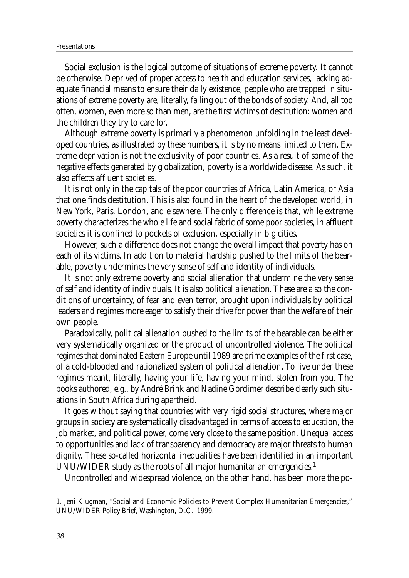Social exclusion is the logical outcome of situations of extreme poverty. It cannot be otherwise. Deprived of proper access to health and education services, lacking adequate financial means to ensure their daily existence, people who are trapped in situations of extreme poverty are, literally, falling out of the bonds of society. And, all too often, women, even more so than men, are the first victims of destitution: women and the children they try to care for.

Although extreme poverty is primarily a phenomenon unfolding in the least developed countries, as illustrated by these numbers, it is by no means limited to them. Extreme deprivation is not the exclusivity of poor countries. As a result of some of the negative effects generated by globalization, poverty is a worldwide disease. As such, it also affects affluent societies.

It is not only in the capitals of the poor countries of Africa, Latin America, or Asia that one finds destitution. This is also found in the heart of the developed world, in New York, Paris, London, and elsewhere. The only difference is that, while extreme poverty characterizes the whole life and social fabric of some poor societies, in affluent societies it is confined to pockets of exclusion, especially in big cities.

However, such a difference does not change the overall impact that poverty has on each of its victims. In addition to material hardship pushed to the limits of the bearable, poverty undermines the very sense of self and identity of individuals.

It is not only extreme poverty and social alienation that undermine the very sense of self and identity of individuals. It is also political alienation. These are also the conditions of uncertainty, of fear and even terror, brought upon individuals by political leaders and regimes more eager to satisfy their drive for power than the welfare of their own people.

Paradoxically, political alienation pushed to the limits of the bearable can be either very systematically organized or the product of uncontrolled violence. The political regimes that dominated Eastern Europe until 1989 are prime examples of the first case, of a cold-blooded and rationalized system of political alienation. To live under these regimes meant, literally, having your life, having your mind, stolen from you. The books authored, e.g., by André Brink and Nadine Gordimer describe clearly such situations in South Africa during apartheid.

It goes without saying that countries with very rigid social structures, where major groups in society are systematically disadvantaged in terms of access to education, the job market, and political power, come very close to the same position. Unequal access to opportunities and lack of transparency and democracy are major threats to human dignity. These so-called horizontal inequalities have been identified in an important UNU/WIDER study as the roots of all major humanitarian emergencies.<sup>1</sup>

Uncontrolled and widespread violence, on the other hand, has been more the po-

<sup>1.</sup> Jeni Klugman, "Social and Economic Policies to Prevent Complex Humanitarian Emergencies," UNU/WIDER Policy Brief, Washington, D.C., 1999.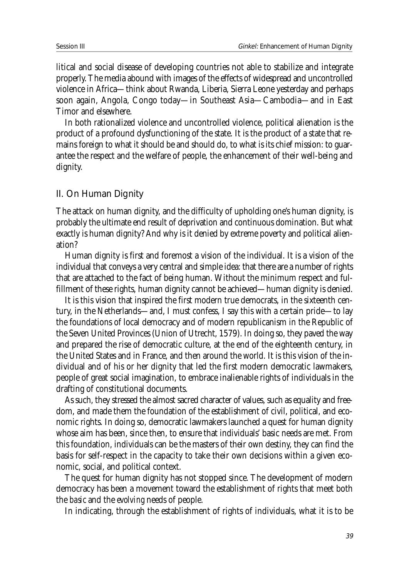litical and social disease of developing countries not able to stabilize and integrate properly. The media abound with images of the effects of widespread and uncontrolled violence in Africa—think about Rwanda, Liberia, Sierra Leone yesterday and perhaps soon again, Angola, Congo today—in Southeast Asia—Cambodia—and in East Timor and elsewhere.

In both rationalized violence and uncontrolled violence, political alienation is the product of a profound dysfunctioning of the state. It is the product of a state that remains foreign to what it should be and should do, to what is its chief mission: to guarantee the respect and the welfare of people, the enhancement of their well-being and dignity.

#### II. On Human Dignity

The attack on human dignity, and the difficulty of upholding one's human dignity, is probably the ultimate end result of deprivation and continuous domination. But what exactly is human dignity? And why is it denied by extreme poverty and political alienation?

Human dignity is first and foremost a vision of the individual. It is a vision of the individual that conveys a very central and simple idea: that there are a number of rights that are attached to the fact of being human. Without the minimum respect and fulfillment of these rights, human dignity cannot be achieved—human dignity is denied.

It is this vision that inspired the first modern true democrats, in the sixteenth century, in the Netherlands—and, I must confess, I say this with a certain pride—to lay the foundations of local democracy and of modern republicanism in the Republic of the Seven United Provinces (Union of Utrecht, 1579). In doing so, they paved the way and prepared the rise of democratic culture, at the end of the eighteenth century, in the United States and in France, and then around the world. It is this vision of the individual and of his or her dignity that led the first modern democratic lawmakers, people of great social imagination, to embrace inalienable rights of individuals in the drafting of constitutional documents.

As such, they stressed the almost sacred character of values, such as equality and freedom, and made them the foundation of the establishment of civil, political, and economic rights. In doing so, democratic lawmakers launched a quest for human dignity whose aim has been, since then, to ensure that individuals' basic needs are met. From this foundation, individuals can be the masters of their own destiny, they can find the basis for self-respect in the capacity to take their own decisions within a given economic, social, and political context.

The quest for human dignity has not stopped since. The development of modern democracy has been a movement toward the establishment of rights that meet both the *basic* and the *evolving* needs of people.

In indicating, through the establishment of rights of individuals, what it is to be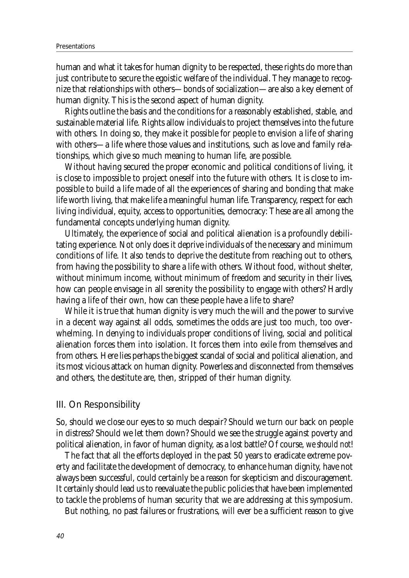#### Presentations

human and what it takes for human dignity to be respected, these rights do more than just contribute to secure the egoistic welfare of the individual. They manage to recognize that relationships with others—bonds of socialization—are also a key element of human dignity. This is the second aspect of human dignity.

Rights outline the basis and the conditions for a reasonably established, stable, and sustainable material life. Rights allow individuals to project themselves into the future with others. In doing so, they make it possible for people to envision a life of sharing with others—a life where those values and institutions, such as love and family relationships, which give so much meaning to human life, are possible.

Without having secured the proper economic and political conditions of living, it is close to impossible to project oneself into the future with others. It is close to impossible to build a life made of all the experiences of sharing and bonding that make life worth living, that make life a meaningful human life. Transparency, respect for each living individual, equity, access to opportunities, democracy: These are all among the fundamental concepts underlying human dignity.

Ultimately, the experience of social and political alienation is a profoundly debilitating experience. Not only does it deprive individuals of the necessary and minimum conditions of life. It also tends to deprive the destitute from reaching out to others, from having the possibility to share a life with others. Without food, without shelter, without minimum income, without minimum of freedom and security in their lives, how can people envisage in all serenity the possibility to engage with others? Hardly having a life of their own, how can these people have a life to share?

While it is true that human dignity is very much the will and the power to survive in a decent way against all odds, sometimes the odds are just too much, too overwhelming. In denying to individuals proper conditions of living, social and political alienation forces them into isolation. It forces them into exile from themselves and from others. Here lies perhaps the biggest scandal of social and political alienation, and its most vicious attack on human dignity. Powerless and disconnected from themselves and others, the destitute are, then, stripped of their human dignity.

#### III. On Responsibility

So, should we close our eyes to so much despair? Should we turn our back on people in distress? Should we let them down? Should we see the struggle against poverty and political alienation, in favor of human dignity, as a lost battle? Of course, *we should not*!

The fact that all the efforts deployed in the past 50 years to eradicate extreme poverty and facilitate the development of democracy, to enhance human dignity, have not always been successful, could certainly be a reason for skepticism and discouragement. It certainly should lead us to reevaluate the public policies that have been implemented to tackle the problems of human security that we are addressing at this symposium.

But nothing, no past failures or frustrations, will ever be a sufficient reason to give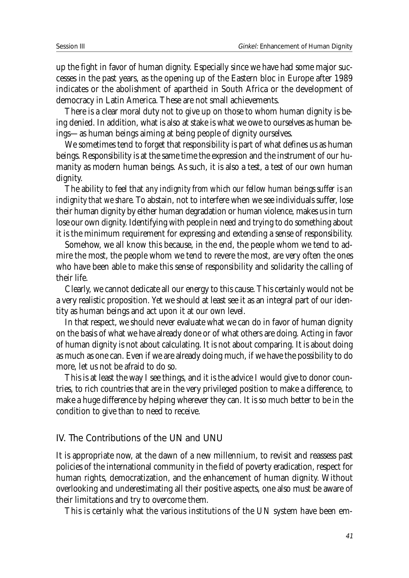up the fight in favor of human dignity. Especially since we have had some major successes in the past years, as the opening up of the Eastern bloc in Europe after 1989 indicates or the abolishment of apartheid in South Africa or the development of democracy in Latin America. These are not small achievements.

There is a clear moral duty not to give up on those to whom human dignity is being denied. In addition, what is also at stake is what we owe to ourselves as human beings—as human beings aiming at being people of dignity ourselves.

We sometimes tend to forget that responsibility is part of what defines us as human beings. Responsibility is at the same time the expression and the instrument of our humanity as modern human beings. As such, it is also a test, a test of our own human dignity.

The ability to feel that *any indignity from which our fellow human beings suffer is an indignity that we share*. To abstain, not to interfere when we see individuals suffer, lose their human dignity by either human degradation or human violence, makes us in turn lose our own dignity. Identifying with people in need and trying to do something about it is the minimum requirement for expressing and extending a sense of responsibility.

Somehow, we all know this because, in the end, the people whom we tend to admire the most, the people whom we tend to revere the most, are very often the ones who have been able to make this sense of responsibility and solidarity the calling of their life.

Clearly, we cannot dedicate all our energy to this cause. This certainly would not be a very realistic proposition. Yet we should at least see it as an integral part of our identity as human beings and act upon it at our own level.

In that respect, we should never evaluate what we can do in favor of human dignity on the basis of what we have already done or of what others are doing. Acting in favor of human dignity is not about calculating. It is not about comparing. It is about doing as much as one can. Even if we are already doing much, if we have the possibility to do more, let us not be afraid to do so.

This is at least the way I see things, and it is the advice I would give to donor countries, to rich countries that are in the very privileged position to make a difference, to make a huge difference by helping wherever they can. It is so much better to be in the condition to give than to need to receive.

#### IV. The Contributions of the UN and UNU

It is appropriate now, at the dawn of a new millennium, to revisit and reassess past policies of the international community in the field of poverty eradication, respect for human rights, democratization, and the enhancement of human dignity. Without overlooking and underestimating all their positive aspects, one also must be aware of their limitations and try to overcome them.

This is certainly what the various institutions of the UN system have been em-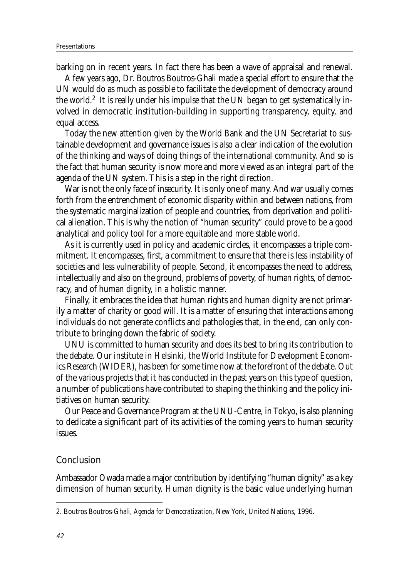barking on in recent years. In fact there has been a wave of appraisal and renewal.

A few years ago, Dr. Boutros Boutros-Ghali made a special effort to ensure that the UN would do as much as possible to facilitate the development of democracy around the world.<sup>2</sup> It is really under his impulse that the UN began to get systematically involved in democratic institution-building in supporting transparency, equity, and equal access.

Today the new attention given by the World Bank and the UN Secretariat to sustainable development and governance issues is also a clear indication of the evolution of the thinking and ways of doing things of the international community. And so is the fact that human security is now more and more viewed as an integral part of the agenda of the UN system. This is a step in the right direction.

War is not the only face of insecurity. It is only one of many. And war usually comes forth from the entrenchment of economic disparity within and between nations, from the systematic marginalization of people and countries, from deprivation and political alienation. This is why the notion of "human security" could prove to be a good analytical and policy tool for a more equitable and more stable world.

As it is currently used in policy and academic circles, it encompasses a triple commitment. It encompasses, first, a commitment to ensure that there is less instability of societies and less vulnerability of people. Second, it encompasses the need to address, intellectually and also on the ground, problems of poverty, of human rights, of democracy, and of human dignity, in a holistic manner.

Finally, it embraces the idea that human rights and human dignity are not primarily a matter of charity or good will. It is a matter of ensuring that interactions among individuals do not generate conflicts and pathologies that, in the end, can only contribute to bringing down the fabric of society.

UNU is committed to human security and does its best to bring its contribution to the debate. Our institute in Helsinki, the World Institute for Development Economics Research (WIDER), has been for some time now at the forefront of the debate. Out of the various projects that it has conducted in the past years on this type of question, a number of publications have contributed to shaping the thinking and the policy initiatives on human security.

Our Peace and Governance Program at the UNU-Centre, in Tokyo, is also planning to dedicate a significant part of its activities of the coming years to human security issues.

#### Conclusion

Ambassador Owada made a major contribution by identifying "human dignity" as a key dimension of human security. Human dignity is the basic value underlying human

<sup>2.</sup> Boutros Boutros-Ghali, *Agenda for Democratization*, New York, United Nations, 1996.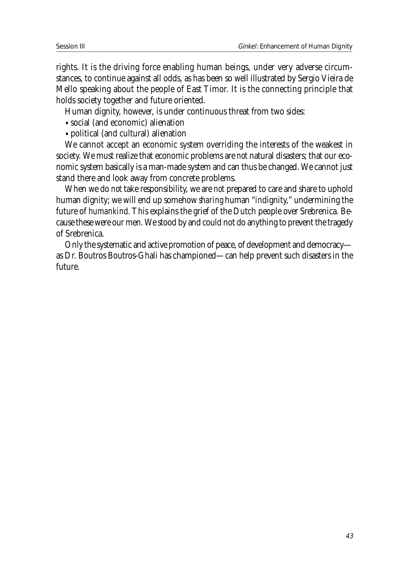rights. It is the driving force enabling human beings, under very adverse circumstances, to continue against all odds, as has been so well illustrated by Sergio Vieira de Mello speaking about the people of East Timor. It is the connecting principle that holds society together and future oriented.

Human dignity, however, is under continuous threat from two sides:

- social (and economic) alienation
- political (and cultural) alienation

We cannot accept an economic system overriding the interests of the weakest in society. We must realize that economic problems are *not* natural disasters; that our economic system basically is a man-made system and can thus be changed. We cannot just stand there and look away from concrete problems.

When we do *not* take responsibility, we are *not* prepared to care and share to uphold human dignity; we will end up somehow *sharing* human "*in*dignity," undermining the future of *humankind.* This explains the grief of the Dutch people over Srebrenica. Because these were our men. We stood by and could not do anything to prevent the tragedy of Srebrenica.

Only the systematic and active promotion of peace, of development and democracy as Dr. Boutros Boutros-Ghali has championed—can help prevent such disasters in the future.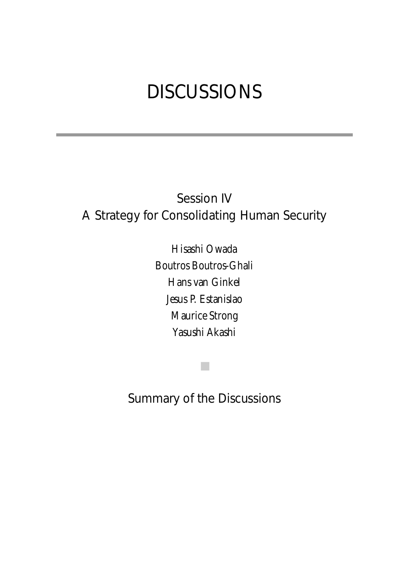# DISCUSSIONS

## Session IV A Strategy for Consolidating Human Security

Hisashi Owada Boutros Boutros-Ghali Hans van Ginkel Jesus P. Estanislao Maurice Strong Yasushi Akashi

Summary of the Discussions

■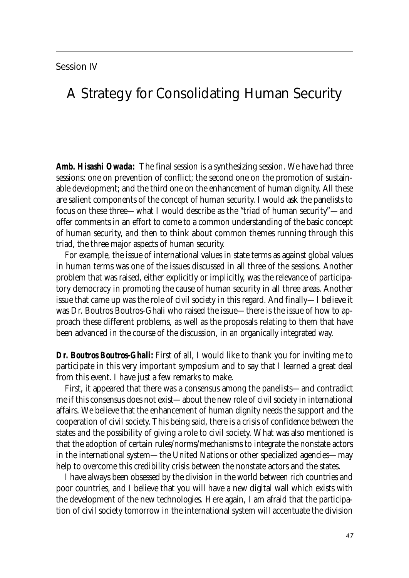## A Strategy for Consolidating Human Security

*Amb. Hisashi Owada:* The final session is a synthesizing session. We have had three sessions: one on prevention of conflict; the second one on the promotion of sustainable development; and the third one on the enhancement of human dignity. All these are salient components of the concept of human security. I would ask the panelists to focus on these three—what I would describe as the "triad of human security"—and offer comments in an effort to come to a common understanding of the basic concept of human security, and then to think about common themes running through this triad, the three major aspects of human security.

For example, the issue of international values in state terms as against global values in human terms was one of the issues discussed in all three of the sessions. Another problem that was raised, either explicitly or implicitly, was the relevance of participatory democracy in promoting the cause of human security in all three areas. Another issue that came up was the role of civil society in this regard. And finally—I believe it was Dr. Boutros Boutros-Ghali who raised the issue—there is the issue of how to approach these different problems, as well as the proposals relating to them that have been advanced in the course of the discussion, in an organically integrated way.

*Dr. Boutros Boutros-Ghali:* First of all, I would like to thank you for inviting me to participate in this very important symposium and to say that I learned a great deal from this event. I have just a few remarks to make.

First, it appeared that there was a consensus among the panelists—and contradict me if this consensus does not exist—about the new role of civil society in international affairs. We believe that the enhancement of human dignity needs the support and the cooperation of civil society. This being said, there is a crisis of confidence between the states and the possibility of giving a role to civil society. What was also mentioned is that the adoption of certain rules/norms/mechanisms to integrate the nonstate actors in the international system—the United Nations or other specialized agencies—may help to overcome this credibility crisis between the nonstate actors and the states.

I have always been obsessed by the division in the world between rich countries and poor countries, and I believe that you will have a new digital wall which exists with the development of the new technologies. Here again, I am afraid that the participation of civil society tomorrow in the international system will accentuate the division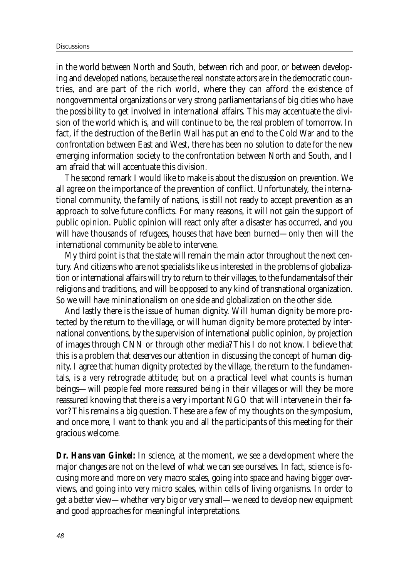in the world between North and South, between rich and poor, or between developing and developed nations, because the real nonstate actors are in the democratic countries, and are part of the rich world, where they can afford the existence of nongovernmental organizations or very strong parliamentarians of big cities who have the possibility to get involved in international affairs. This may accentuate the division of the world which is, and will continue to be, the real problem of tomorrow. In fact, if the destruction of the Berlin Wall has put an end to the Cold War and to the confrontation between East and West, there has been no solution to date for the new emerging information society to the confrontation between North and South, and I am afraid that will accentuate this division.

The second remark I would like to make is about the discussion on prevention. We all agree on the importance of the prevention of conflict. Unfortunately, the international community, the family of nations, is still not ready to accept prevention as an approach to solve future conflicts. For many reasons, it will not gain the support of public opinion. Public opinion will react only after a disaster has occurred, and you will have thousands of refugees, houses that have been burned—only then will the international community be able to intervene.

My third point is that the state will remain the main actor throughout the next century. And citizens who are not specialists like us interested in the problems of globalization or international affairs will try to return to their villages, to the fundamentals of their religions and traditions, and will be opposed to any kind of transnational organization. So we will have mininationalism on one side and globalization on the other side.

And lastly there is the issue of human dignity. Will human dignity be more protected by the return to the village, or will human dignity be more protected by international conventions, by the supervision of international public opinion, by projection of images through CNN or through other media? This I do not know. I believe that this is a problem that deserves our attention in discussing the concept of human dignity. I agree that human dignity protected by the village, the return to the fundamentals, is a very retrograde attitude; but on a practical level what counts is human beings—will people feel more reassured being in their villages or will they be more reassured knowing that there is a very important NGO that will intervene in their favor? This remains a big question. These are a few of my thoughts on the symposium, and once more, I want to thank you and all the participants of this meeting for their gracious welcome.

*Dr. Hans van Ginkel:* In science, at the moment, we see a development where the major changes are not on the level of what we can see ourselves. In fact, science is focusing more and more on very macro scales, going into space and having bigger overviews, and going into very micro scales, within cells of living organisms. In order to get a better view—whether very big or very small—we need to develop new equipment and good approaches for meaningful interpretations.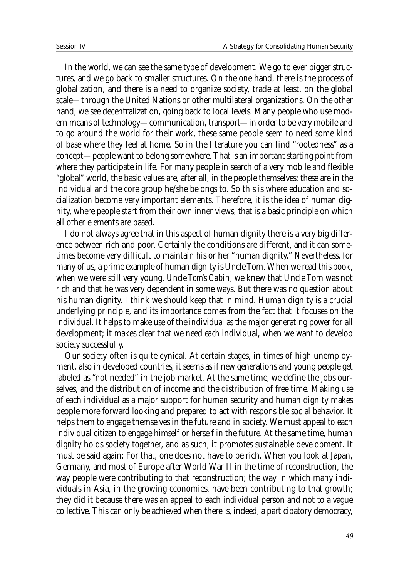In the world, we can see the same type of development. We go to ever bigger structures, and we go back to smaller structures. On the one hand, there is the process of globalization, and there is a need to organize society, trade at least, on the global scale—through the United Nations or other multilateral organizations. On the other hand, we see decentralization, going back to local levels. Many people who use modern means of technology—communication, transport—in order to be very mobile and to go around the world for their work, these same people seem to need some kind of base where they feel at home. So in the literature you can find "rootedness" as a concept—people want to belong somewhere. That is an important starting point from where they participate in life. For many people in search of a very mobile and flexible "global" world, the basic values are, after all, in the people themselves; these are in the individual and the core group he/she belongs to. So this is where education and socialization become very important elements. Therefore, it is the idea of human dignity, where people start from their own inner views, that is a basic principle on which all other elements are based.

I do not always agree that in this aspect of human dignity there is a very big difference between rich and poor. Certainly the conditions are different, and it can sometimes become very difficult to maintain his or her "human dignity." Nevertheless, for many of us, a prime example of human dignity is Uncle Tom. When we read this book, when we were still very young, *Uncle Tom's Cabin*, we knew that Uncle Tom was not rich and that he was very dependent in some ways. But there was no question about his human dignity. I think we should keep that in mind. Human dignity is a crucial underlying principle, and its importance comes from the fact that it focuses on the individual. It helps to make use of the individual as the major generating power for all development; it makes clear that we need *each* individual, when we want to develop society successfully.

Our society often is quite cynical. At certain stages, in times of high unemployment, also in developed countries, it seems as if new generations and young people get labeled as "not needed" in the job market. At the same time, we define the jobs ourselves, and the distribution of income and the distribution of free time. Making use of each individual as a major support for human security and human dignity makes people more forward looking and prepared to act with responsible social behavior. It helps them to engage themselves in the future and in society. We must appeal to each individual citizen to engage himself or herself in the future. At the same time, human dignity holds society together, and as such, it promotes sustainable development. It must be said again: For that, one does not have to be rich. When you look at Japan, Germany, and most of Europe after World War II in the time of reconstruction, the way people were contributing to that reconstruction; the way in which many individuals in Asia, in the growing economies, have been contributing to that growth; they did it because there was an appeal to each individual person and not to a vague collective. This can only be achieved when there is, indeed, a participatory democracy,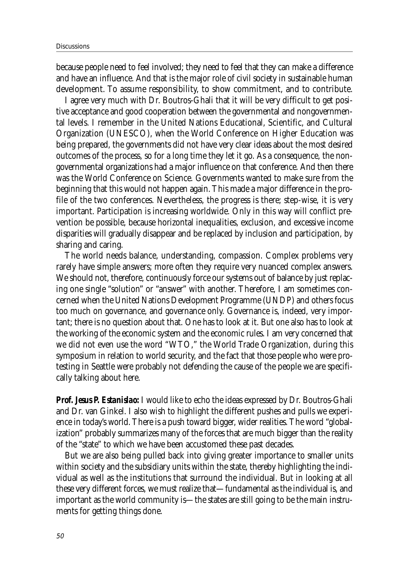because people need to feel involved; they need to feel that they can make a difference and have an influence. And that is the major role of civil society in sustainable human development. To assume responsibility, to show commitment, and to contribute.

I agree very much with Dr. Boutros-Ghali that it will be very difficult to get positive acceptance and good cooperation between the governmental and nongovernmental levels. I remember in the United Nations Educational, Scientific, and Cultural Organization (UNESCO), when the World Conference on Higher Education was being prepared, the governments did not have very clear ideas about the most desired outcomes of the process, so for a long time they let it go. As a consequence, the nongovernmental organizations had a major influence on that conference. And then there was the World Conference on Science. Governments wanted to make sure from the beginning that this would not happen again. This made a major difference in the profile of the two conferences. Nevertheless, the progress is there; step-wise, it is very important. Participation is increasing worldwide. Only in this way will conflict prevention be possible, because horizontal inequalities, exclusion, and excessive income disparities will gradually disappear and be replaced by inclusion and participation, by sharing and caring.

The world needs balance, understanding, compassion. Complex problems very rarely have simple answers; more often they require very nuanced complex answers. We should not, therefore, continuously force our systems out of balance by just replacing one single "solution" or "answer" with another. Therefore, I am sometimes concerned when the United Nations Development Programme (UNDP) and others focus too much on governance, and governance only. Governance is, indeed, very important; there is no question about that. One has to look at it. But one also has to look at the working of the economic system and the economic rules. I am very concerned that we did not even use the word "WTO," the World Trade Organization, during this symposium in relation to world security, and the fact that those people who were protesting in Seattle were probably not defending the cause of the people we are specifically talking about here.

*Prof. Jesus P. Estanislao:* I would like to echo the ideas expressed by Dr. Boutros-Ghali and Dr. van Ginkel. I also wish to highlight the different pushes and pulls we experience in today's world. There is a push toward bigger, wider realities. The word "globalization" probably summarizes many of the forces that are much bigger than the reality of the "state" to which we have been accustomed these past decades.

But we are also being pulled back into giving greater importance to smaller units within society and the subsidiary units within the state, thereby highlighting the individual as well as the institutions that surround the individual. But in looking at all these very different forces, we must realize that—fundamental as the individual is, and important as the world community is—the states are still going to be the main instruments for getting things done.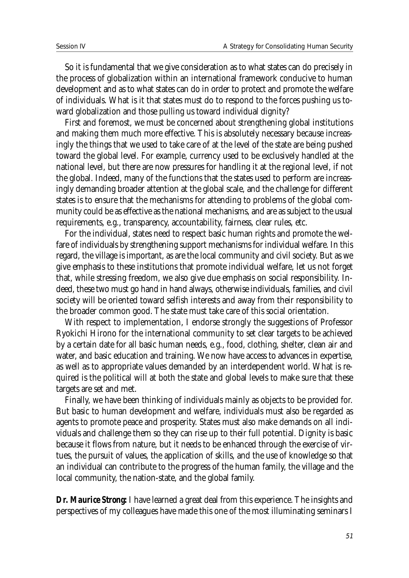So it is fundamental that we give consideration as to what states can do precisely in the process of globalization within an international framework conducive to human development and as to what states can do in order to protect and promote the welfare of individuals. What is it that states must do to respond to the forces pushing us toward globalization and those pulling us toward individual dignity?

First and foremost, we must be concerned about strengthening global institutions and making them much more effective. This is absolutely necessary because increasingly the things that we used to take care of at the level of the state are being pushed toward the global level. For example, currency used to be exclusively handled at the national level, but there are now pressures for handling it at the regional level, if not the global. Indeed, many of the functions that the states used to perform are increasingly demanding broader attention at the global scale, and the challenge for different states is to ensure that the mechanisms for attending to problems of the global community could be as effective as the national mechanisms, and are as subject to the usual requirements, e.g., transparency, accountability, fairness, clear rules, etc.

For the individual, states need to respect basic human rights and promote the welfare of individuals by strengthening support mechanisms for individual welfare. In this regard, the village is important, as are the local community and civil society. But as we give emphasis to these institutions that promote individual welfare, let us not forget that, while stressing freedom, we also give due emphasis on social responsibility. Indeed, these two must go hand in hand always, otherwise individuals, families, and civil society will be oriented toward selfish interests and away from their responsibility to the broader common good. The state must take care of this social orientation.

With respect to implementation, I endorse strongly the suggestions of Professor Ryokichi Hirono for the international community to set clear targets to be achieved by a certain date for all basic human needs, e.g., food, clothing, shelter, clean air and water, and basic education and training. We now have access to advances in expertise, as well as to appropriate values demanded by an interdependent world. What is required is the political will at both the state and global levels to make sure that these targets are set and met.

Finally, we have been thinking of individuals mainly as objects to be provided for. But basic to human development and welfare, individuals must also be regarded as agents to promote peace and prosperity. States must also make demands on all individuals and challenge them so they can rise up to their full potential. Dignity is basic because it flows from nature, but it needs to be enhanced through the exercise of virtues, the pursuit of values, the application of skills, and the use of knowledge so that an individual can contribute to the progress of the human family, the village and the local community, the nation-state, and the global family.

*Dr. Maurice Strong:* I have learned a great deal from this experience. The insights and perspectives of my colleagues have made this one of the most illuminating seminars I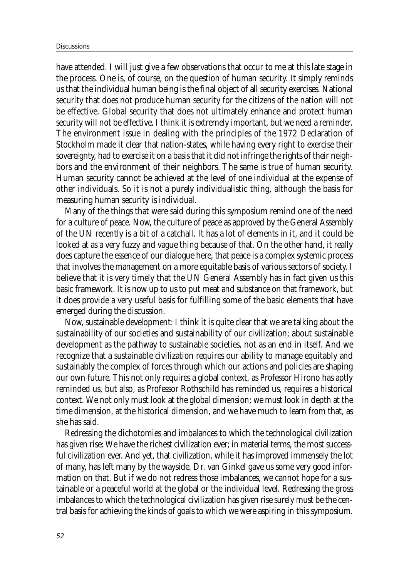have attended. I will just give a few observations that occur to me at this late stage in the process. One is, of course, on the question of human security. It simply reminds us that the individual human being is the final object of all security exercises. National security that does not produce human security for the citizens of the nation will not be effective. Global security that does not ultimately enhance and protect human security will not be effective. I think it is extremely important, but we need a reminder. The environment issue in dealing with the principles of the 1972 Declaration of Stockholm made it clear that nation-states, while having every right to exercise their sovereignty, had to exercise it on a basis that it did not infringe the rights of their neighbors and the environment of their neighbors. The same is true of human security. Human security cannot be achieved at the level of one individual at the expense of other individuals. So it is not a purely individualistic thing, although the basis for measuring human security is individual.

Many of the things that were said during this symposium remind one of the need for a culture of peace. Now, the culture of peace as approved by the General Assembly of the UN recently is a bit of a catchall. It has a lot of elements in it, and it could be looked at as a very fuzzy and vague thing because of that. On the other hand, it really does capture the essence of our dialogue here, that peace is a complex systemic process that involves the management on a more equitable basis of various sectors of society. I believe that it is very timely that the UN General Assembly has in fact given us this basic framework. It is now up to us to put meat and substance on that framework, but it does provide a very useful basis for fulfilling some of the basic elements that have emerged during the discussion.

Now, sustainable development: I think it is quite clear that we are talking about the sustainability of our societies and sustainability of our civilization; about sustainable development as the pathway to sustainable societies, not as an end in itself. And we recognize that a sustainable civilization requires our ability to manage equitably and sustainably the complex of forces through which our actions and policies are shaping our own future. This not only requires a global context, as Professor Hirono has aptly reminded us, but also, as Professor Rothschild has reminded us, requires a historical context. We not only must look at the global dimension; we must look in depth at the time dimension, at the historical dimension, and we have much to learn from that, as she has said.

Redressing the dichotomies and imbalances to which the technological civilization has given rise: We have the richest civilization ever; in material terms, the most successful civilization ever. And yet, that civilization, while it has improved immensely the lot of many, has left many by the wayside. Dr. van Ginkel gave us some very good information on that. But if we do not redress those imbalances, we cannot hope for a sustainable or a peaceful world at the global or the individual level. Redressing the gross imbalances to which the technological civilization has given rise surely must be the central basis for achieving the kinds of goals to which we were aspiring in this symposium.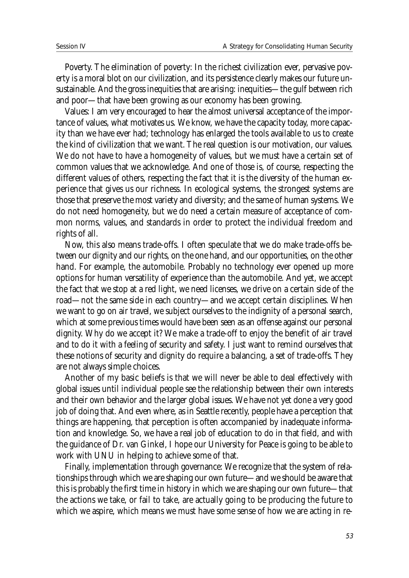Poverty. The elimination of poverty: In the richest civilization ever, pervasive poverty is a moral blot on our civilization, and its persistence clearly makes our future unsustainable. And the gross inequities that are arising: inequities—the gulf between rich and poor—that have been growing as our economy has been growing.

Values: I am very encouraged to hear the almost universal acceptance of the importance of values, what motivates us. We know, we have the capacity today, more capacity than we have ever had; technology has enlarged the tools available to us to create the kind of civilization that we want. The real question is our motivation, our values. We do not have to have a homogeneity of values, but we must have a certain set of common values that we acknowledge. And one of those is, of course, respecting the different values of others, respecting the fact that it is the diversity of the human experience that gives us our richness. In ecological systems, the strongest systems are those that preserve the most variety and diversity; and the same of human systems. We do not need homogeneity, but we do need a certain measure of acceptance of common norms, values, and standards in order to protect the individual freedom and rights of all.

Now, this also means trade-offs. I often speculate that we do make trade-offs between our dignity and our rights, on the one hand, and our opportunities, on the other hand. For example, the automobile. Probably no technology ever opened up more options for human versatility of experience than the automobile. And yet, we accept the fact that we stop at a red light, we need licenses, we drive on a certain side of the road—not the same side in each country—and we accept certain disciplines. When we want to go on air travel, we subject ourselves to the indignity of a personal search, which at some previous times would have been seen as an offense against our personal dignity. Why do we accept it? We make a trade-off to enjoy the benefit of air travel and to do it with a feeling of security and safety. I just want to remind ourselves that these notions of security and dignity do require a balancing, a set of trade-offs. They are not always simple choices.

Another of my basic beliefs is that we will never be able to deal effectively with global issues until individual people see the relationship between their own interests and their own behavior and the larger global issues. We have not yet done a very good job of doing that. And even where, as in Seattle recently, people have a perception that things are happening, that perception is often accompanied by inadequate information and knowledge. So, we have a real job of education to do in that field, and with the guidance of Dr. van Ginkel, I hope our University for Peace is going to be able to work with UNU in helping to achieve some of that.

Finally, implementation through governance: We recognize that the system of relationships through which we are shaping our own future—and we should be aware that this is probably the first time in history in which we are shaping our own future—that the actions we take, or fail to take, are actually going to be producing the future to which we aspire, which means we must have some sense of how we are acting in re-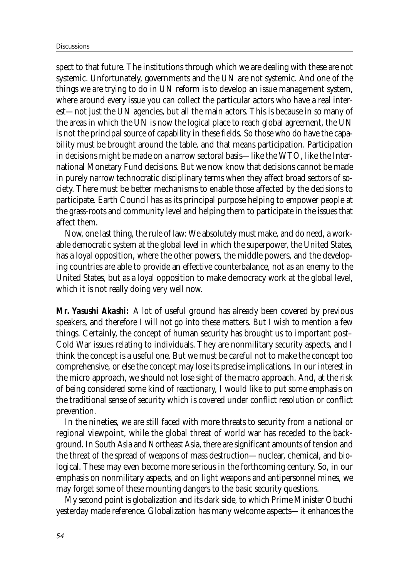spect to that future. The institutions through which we are dealing with these are not systemic. Unfortunately, governments and the UN are not systemic. And one of the things we are trying to do in UN reform is to develop an issue management system, where around every issue you can collect the particular actors who have a real interest—not just the UN agencies, but all the main actors. This is because in so many of the areas in which the UN is now the logical place to reach global agreement, the UN is not the principal source of capability in these fields. So those who do have the capability must be brought around the table, and that means participation. Participation in decisions might be made on a narrow sectoral basis—like the WTO, like the International Monetary Fund decisions. But we now know that decisions cannot be made in purely narrow technocratic disciplinary terms when they affect broad sectors of society. There must be better mechanisms to enable those affected by the decisions to participate. Earth Council has as its principal purpose helping to empower people at the grass-roots and community level and helping them to participate in the issues that affect them.

Now, one last thing, the rule of law: We absolutely must make, and do need, a workable democratic system at the global level in which the superpower, the United States, has a loyal opposition, where the other powers, the middle powers, and the developing countries are able to provide an effective counterbalance, not as an enemy to the United States, but as a loyal opposition to make democracy work at the global level, which it is not really doing very well now.

*Mr. Yasushi Akashi:* A lot of useful ground has already been covered by previous speakers, and therefore I will not go into these matters. But I wish to mention a few things. Certainly, the concept of human security has brought us to important post– Cold War issues relating to individuals. They are nonmilitary security aspects, and I think the concept is a useful one. But we must be careful not to make the concept too comprehensive, or else the concept may lose its precise implications. In our interest in the micro approach, we should not lose sight of the macro approach. And, at the risk of being considered some kind of reactionary, I would like to put some emphasis on the traditional sense of security which is covered under conflict resolution or conflict prevention.

In the nineties, we are still faced with more threats to security from a national or regional viewpoint, while the global threat of world war has receded to the background. In South Asia and Northeast Asia, there are significant amounts of tension and the threat of the spread of weapons of mass destruction—nuclear, chemical, and biological. These may even become more serious in the forthcoming century. So, in our emphasis on nonmilitary aspects, and on light weapons and antipersonnel mines, we may forget some of these mounting dangers to the basic security questions.

My second point is globalization and its dark side, to which Prime Minister Obuchi yesterday made reference. Globalization has many welcome aspects—it enhances the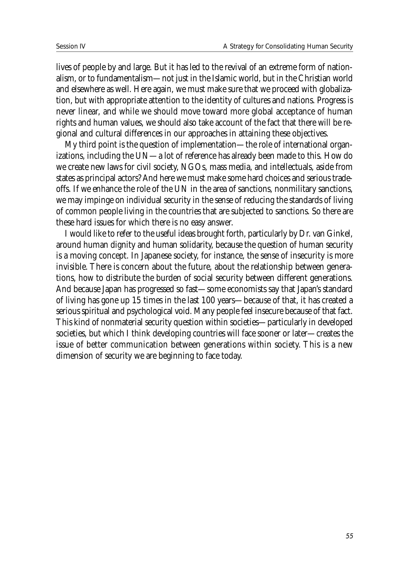lives of people by and large. But it has led to the revival of an extreme form of nationalism, or to fundamentalism—not just in the Islamic world, but in the Christian world and elsewhere as well. Here again, we must make sure that we proceed with globalization, but with appropriate attention to the identity of cultures and nations. Progress is never linear, and while we should move toward more global acceptance of human rights and human values, we should also take account of the fact that there will be regional and cultural differences in our approaches in attaining these objectives.

My third point is the question of implementation—the role of international organizations, including the UN—a lot of reference has already been made to this. How do we create new laws for civil society, NGOs, mass media, and intellectuals, aside from states as principal actors? And here we must make some hard choices and serious tradeoffs. If we enhance the role of the UN in the area of sanctions, nonmilitary sanctions, we may impinge on individual security in the sense of reducing the standards of living of common people living in the countries that are subjected to sanctions. So there are these hard issues for which there is no easy answer.

I would like to refer to the useful ideas brought forth, particularly by Dr. van Ginkel, around human dignity and human solidarity, because the question of human security is a moving concept. In Japanese society, for instance, the sense of insecurity is more invisible. There is concern about the future, about the relationship between generations, how to distribute the burden of social security between different generations. And because Japan has progressed so fast—some economists say that Japan's standard of living has gone up 15 times in the last 100 years—because of that, it has created a serious spiritual and psychological void. Many people feel insecure because of that fact. This kind of nonmaterial security question within societies—particularly in developed societies, but which I think developing countries will face sooner or later—creates the issue of better communication between generations within society. This is a new dimension of security we are beginning to face today.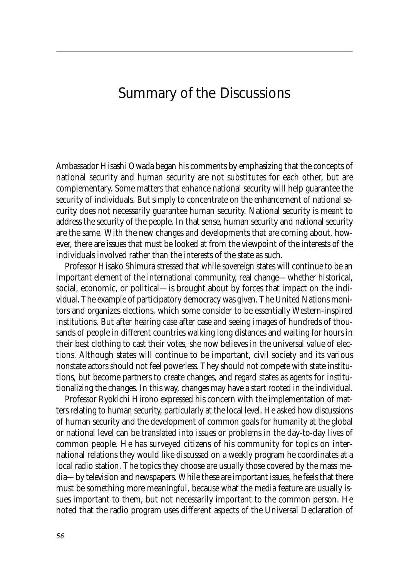### Summary of the Discussions

Ambassador Hisashi Owada began his comments by emphasizing that the concepts of national security and human security are not substitutes for each other, but are complementary. Some matters that enhance national security will help guarantee the security of individuals. But simply to concentrate on the enhancement of national security does not necessarily guarantee human security. National security is meant to address the security of the people. In that sense, human security and national security are the same. With the new changes and developments that are coming about, however, there are issues that must be looked at from the viewpoint of the interests of the individuals involved rather than the interests of the state as such.

Professor Hisako Shimura stressed that while sovereign states will continue to be an important element of the international community, real change—whether historical, social, economic, or political—is brought about by forces that impact on the individual. The example of participatory democracy was given. The United Nations monitors and organizes elections, which some consider to be essentially Western-inspired institutions. But after hearing case after case and seeing images of hundreds of thousands of people in different countries walking long distances and waiting for hours in their best clothing to cast their votes, she now believes in the universal value of elections. Although states will continue to be important, civil society and its various nonstate actors should not feel powerless. They should not compete with state institutions, but become partners to create changes, and regard states as agents for institutionalizing the changes. In this way, changes may have a start rooted in the individual.

Professor Ryokichi Hirono expressed his concern with the implementation of matters relating to human security, particularly at the local level. He asked how discussions of human security and the development of common goals for humanity at the global or national level can be translated into issues or problems in the day-to-day lives of common people. He has surveyed citizens of his community for topics on international relations they would like discussed on a weekly program he coordinates at a local radio station. The topics they choose are usually those covered by the mass media—by television and newspapers. While these are important issues, he feels that there must be something more meaningful, because what the media feature are usually issues important to them, but not necessarily important to the common person. He noted that the radio program uses different aspects of the Universal Declaration of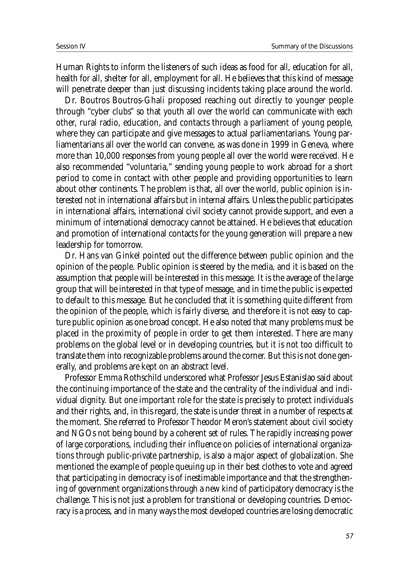Human Rights to inform the listeners of such ideas as food for all, education for all, health for all, shelter for all, employment for all. He believes that this kind of message will penetrate deeper than just discussing incidents taking place around the world.

Dr. Boutros Boutros-Ghali proposed reaching out directly to younger people through "cyber clubs" so that youth all over the world can communicate with each other, rural radio, education, and contacts through a parliament of young people, where they can participate and give messages to actual parliamentarians. Young parliamentarians all over the world can convene, as was done in 1999 in Geneva, where more than 10,000 responses from young people all over the world were received. He also recommended "voluntaria," sending young people to work abroad for a short period to come in contact with other people and providing opportunities to learn about other continents. The problem is that, all over the world, public opinion is interested not in international affairs but in internal affairs. Unless the public participates in international affairs, international civil society cannot provide support, and even a minimum of international democracy cannot be attained. He believes that education and promotion of international contacts for the young generation will prepare a new leadership for tomorrow.

Dr. Hans van Ginkel pointed out the difference between public opinion and the opinion of the people. Public opinion is steered by the media, and it is based on the assumption that people will be interested in this message. It is the average of the large group that will be interested in that type of message, and in time the public is expected to default to this message. But he concluded that it is something quite different from the opinion of the people, which is fairly diverse, and therefore it is not easy to capture public opinion as one broad concept. He also noted that many problems must be placed in the proximity of people in order to get them interested. There are many problems on the global level or in developing countries, but it is not too difficult to translate them into recognizable problems around the corner. But this is not done generally, and problems are kept on an abstract level.

Professor Emma Rothschild underscored what Professor Jesus Estanislao said about the continuing importance of the state and the centrality of the individual and individual dignity. But one important role for the state is precisely to protect individuals and their rights, and, in this regard, the state is under threat in a number of respects at the moment. She referred to Professor Theodor Meron's statement about civil society and NGOs not being bound by a coherent set of rules. The rapidly increasing power of large corporations, including their influence on policies of international organizations through public-private partnership, is also a major aspect of globalization. She mentioned the example of people queuing up in their best clothes to vote and agreed that participating in democracy is of inestimable importance and that the strengthening of government organizations through a new kind of participatory democracy is the challenge. This is not just a problem for transitional or developing countries. Democracy is a process, and in many ways the most developed countries are losing democratic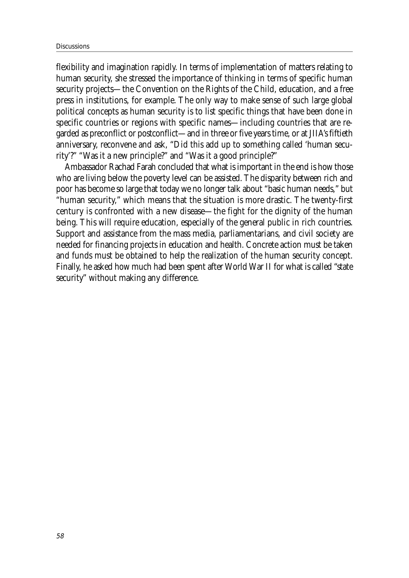flexibility and imagination rapidly. In terms of implementation of matters relating to human security, she stressed the importance of thinking in terms of specific human security projects—the Convention on the Rights of the Child, education, and a free press in institutions, for example. The only way to make sense of such large global political concepts as human security is to list specific things that have been done in specific countries or regions with specific names—including countries that are regarded as preconflict or postconflict—and in three or five years time, or at JIIA's fiftieth anniversary, reconvene and ask, "Did this add up to something called 'human security'?" "Was it a new principle?" and "Was it a good principle?"

Ambassador Rachad Farah concluded that what is important in the end is how those who are living below the poverty level can be assisted. The disparity between rich and poor has become so large that today we no longer talk about "basic human needs," but "human security," which means that the situation is more drastic. The twenty-first century is confronted with a new disease—the fight for the dignity of the human being. This will require education, especially of the general public in rich countries. Support and assistance from the mass media, parliamentarians, and civil society are needed for financing projects in education and health. Concrete action must be taken and funds must be obtained to help the realization of the human security concept. Finally, he asked how much had been spent after World War II for what is called "state security" without making any difference.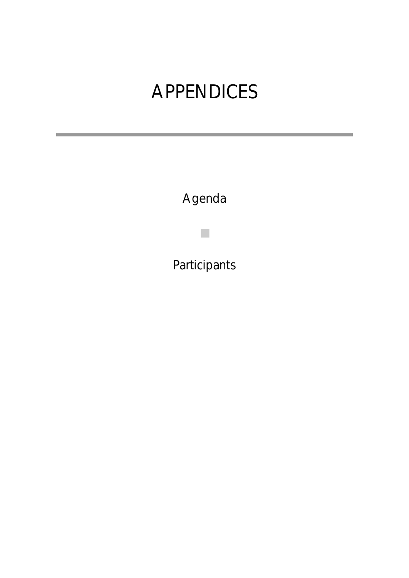# **APPENDICES**

Agenda

■

Participants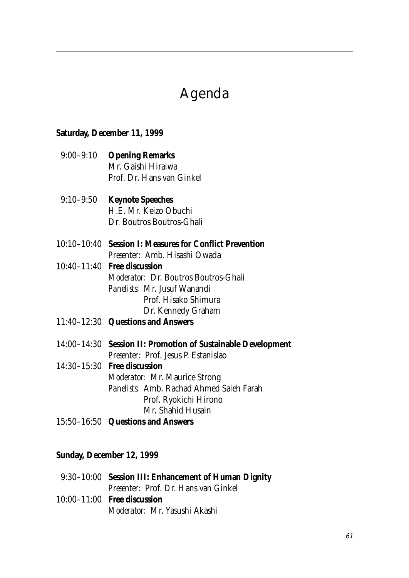## Agenda

#### **Saturday, December 11, 1999**

- 9:00–9:10 **Opening Remarks** Mr. Gaishi Hiraiwa Prof. Dr. Hans van Ginkel
- 9:10–9:50 **Keynote Speeches** H.E. Mr. Keizo Obuchi Dr. Boutros Boutros-Ghali
- 10:10–10:40 **Session I: Measures for Conflict Prevention** *Presenter:* Amb. Hisashi Owada
- 10:40–11:40 **Free discussion** *Moderator:* Dr. Boutros Boutros-Ghali *Panelists:* Mr. Jusuf Wanandi Prof. Hisako Shimura Dr. Kennedy Graham
- 11:40–12:30 **Questions and Answers**
- 14:00–14:30 **Session II: Promotion of Sustainable Development** *Presenter:* Prof. Jesus P. Estanislao
- 14:30–15:30 **Free discussion** *Moderator:* Mr. Maurice Strong *Panelists:* Amb. Rachad Ahmed Saleh Farah Prof. Ryokichi Hirono Mr. Shahid Husain
- 15:50–16:50 **Questions and Answers**

#### **Sunday, December 12, 1999**

| 9:30-10:00 Session III: Enhancement of Human Dignity |
|------------------------------------------------------|
| <i>Presenter:</i> Prof. Dr. Hans van Ginkel          |
| $10:00-11:00$ Free discussion                        |
| <i>Moderator:</i> Mr. Yasushi Akashi                 |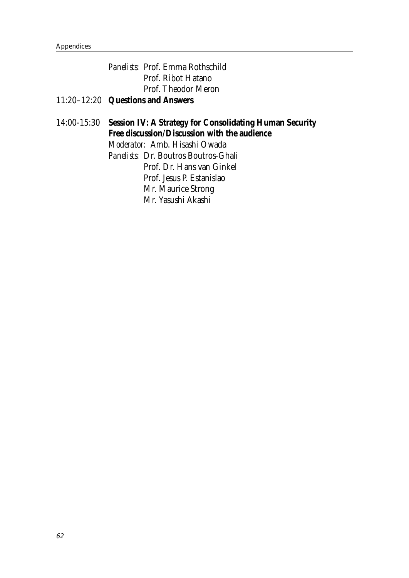|  | <i>Panelists:</i> Prof. Emma Rothschild |
|--|-----------------------------------------|
|  | Prof. Ribot Hatano                      |
|  | Prof. Theodor Meron                     |
|  | 11:20-12:20 Questions and Answers       |

#### 14:00-15:30 **Session IV: A Strategy for Consolidating Human Security Free discussion/Discussion with the audience** *Moderator:* Amb. Hisashi Owada *Panelists:* Dr. Boutros Boutros-Ghali Prof. Dr. Hans van Ginkel Prof. Jesus P. Estanislao Mr. Maurice Strong

Mr. Yasushi Akashi